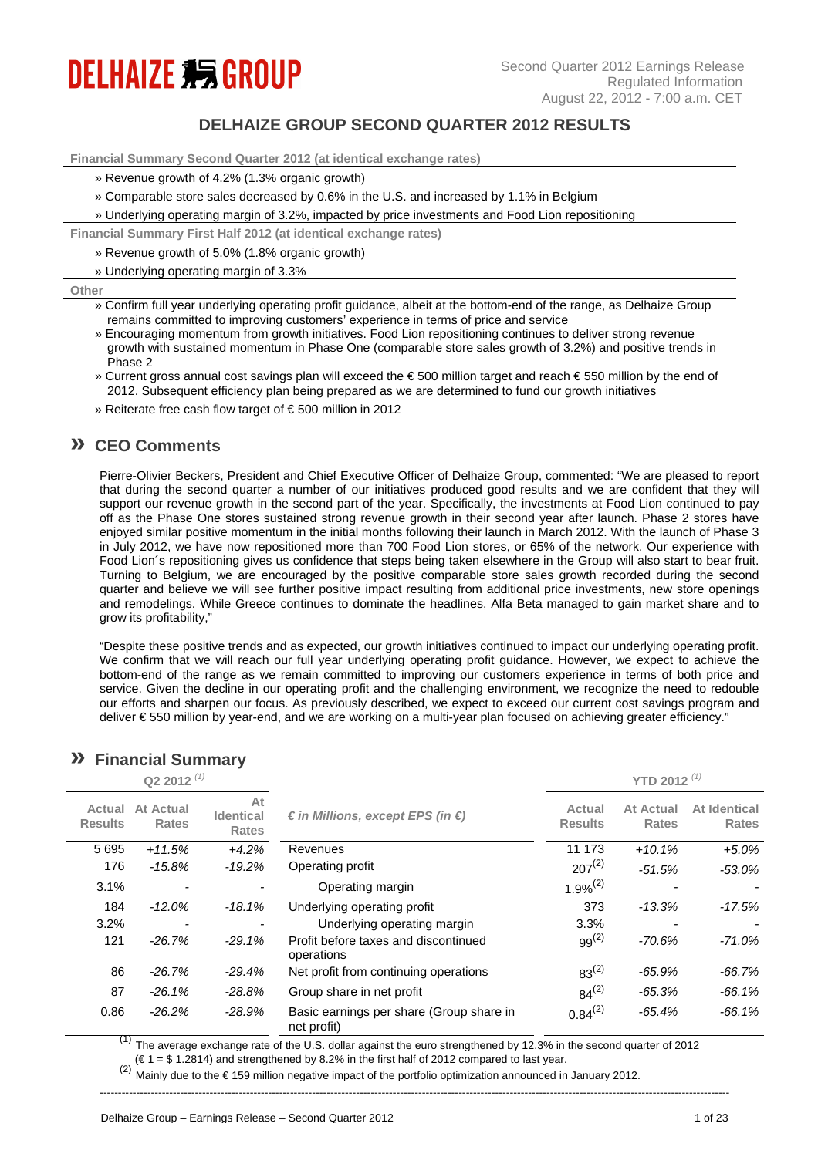# **DELHAIZE \$5 GROUP**

## **DELHAIZE GROUP SECOND QUARTER 2012 RESULTS**

**Financial Summary Second Quarter 2012 (at identical exchange rates)**

- » Revenue growth of 4.2% (1.3% organic growth)
- » Comparable store sales decreased by 0.6% in the U.S. and increased by 1.1% in Belgium

» Underlying operating margin of 3.2%, impacted by price investments and Food Lion repositioning

**Financial Summary First Half 2012 (at identical exchange rates)**

» Revenue growth of 5.0% (1.8% organic growth)

» Underlying operating margin of 3.3%

#### **Other**

- » Confirm full year underlying operating profit guidance, albeit at the bottom-end of the range, as Delhaize Group remains committed to improving customers' experience in terms of price and service
- » Encouraging momentum from growth initiatives. Food Lion repositioning continues to deliver strong revenue growth with sustained momentum in Phase One (comparable store sales growth of 3.2%) and positive trends in Phase 2
- » Current gross annual cost savings plan will exceed the € 500 million target and reach € 550 million by the end of 2012. Subsequent efficiency plan being prepared as we are determined to fund our growth initiatives
- » Reiterate free cash flow target of € 500 million in 2012

## **» CEO Comments**

Pierre-Olivier Beckers, President and Chief Executive Officer of Delhaize Group, commented: "We are pleased to report that during the second quarter a number of our initiatives produced good results and we are confident that they will support our revenue growth in the second part of the year. Specifically, the investments at Food Lion continued to pay off as the Phase One stores sustained strong revenue growth in their second year after launch. Phase 2 stores have enjoyed similar positive momentum in the initial months following their launch in March 2012. With the launch of Phase 3 in July 2012, we have now repositioned more than 700 Food Lion stores, or 65% of the network. Our experience with Food Lion´s repositioning gives us confidence that steps being taken elsewhere in the Group will also start to bear fruit. Turning to Belgium, we are encouraged by the positive comparable store sales growth recorded during the second quarter and believe we will see further positive impact resulting from additional price investments, new store openings and remodelings. While Greece continues to dominate the headlines, Alfa Beta managed to gain market share and to grow its profitability,"

"Despite these positive trends and as expected, our growth initiatives continued to impact our underlying operating profit. We confirm that we will reach our full year underlying operating profit guidance. However, we expect to achieve the bottom-end of the range as we remain committed to improving our customers experience in terms of both price and service. Given the decline in our operating profit and the challenging environment, we recognize the need to redouble our efforts and sharpen our focus. As previously described, we expect to exceed our current cost savings program and deliver € 550 million by year-end, and we are working on a multi-year plan focused on achieving greater efficiency."

| Q2 2012 $(1)$            |                           |                                        |                                                         |                          | YTD 2012 $(1)$            |                              |  |  |  |
|--------------------------|---------------------------|----------------------------------------|---------------------------------------------------------|--------------------------|---------------------------|------------------------------|--|--|--|
| Actual<br><b>Results</b> | At Actual<br><b>Rates</b> | At<br><b>Identical</b><br><b>Rates</b> | € in Millions, except EPS (in €)                        | Actual<br><b>Results</b> | At Actual<br><b>Rates</b> | At Identical<br><b>Rates</b> |  |  |  |
| 5 6 9 5                  | $+11.5%$                  | $+4.2%$                                | Revenues                                                | 11 173                   | $+10.1%$                  | $+5.0%$                      |  |  |  |
| 176                      | $-15.8%$                  | $-19.2%$                               | Operating profit                                        | $207^{(2)}$              | $-51.5%$                  | $-53.0%$                     |  |  |  |
| 3.1%                     | ۰                         |                                        | Operating margin                                        | $1.9%^{(2)}$             |                           |                              |  |  |  |
| 184                      | $-12.0%$                  | $-18.1%$                               | Underlying operating profit                             | 373                      | $-13.3%$                  | $-17.5%$                     |  |  |  |
| 3.2%                     |                           |                                        | Underlying operating margin                             | 3.3%                     |                           | $\overline{\phantom{a}}$     |  |  |  |
| 121                      | $-26.7%$                  | $-29.1%$                               | Profit before taxes and discontinued<br>operations      | $99^{(2)}$               | $-70.6%$                  | $-71.0%$                     |  |  |  |
| 86                       | $-26.7%$                  | $-29.4%$                               | Net profit from continuing operations                   | $83^{(2)}$               | $-65.9%$                  | $-66.7%$                     |  |  |  |
| 87                       | $-26.1%$                  | $-28.8%$                               | Group share in net profit                               | $84^{(2)}$               | $-65.3%$                  | $-66.1%$                     |  |  |  |
| 0.86                     | $-26.2%$                  | $-28.9%$                               | Basic earnings per share (Group share in<br>net profit) | $0.84^{(2)}$             | $-65.4%$                  | $-66.1%$                     |  |  |  |

## **» Financial Summary**

The average exchange rate of the U.S. dollar against the euro strengthened by 12.3% in the second quarter of 2012

 $(\epsilon 1 = \$ 1.2814)$  and strengthened by 8.2% in the first half of 2012 compared to last year.

Mainly due to the €159 million negative impact of the portfolio optimization announced in January 2012.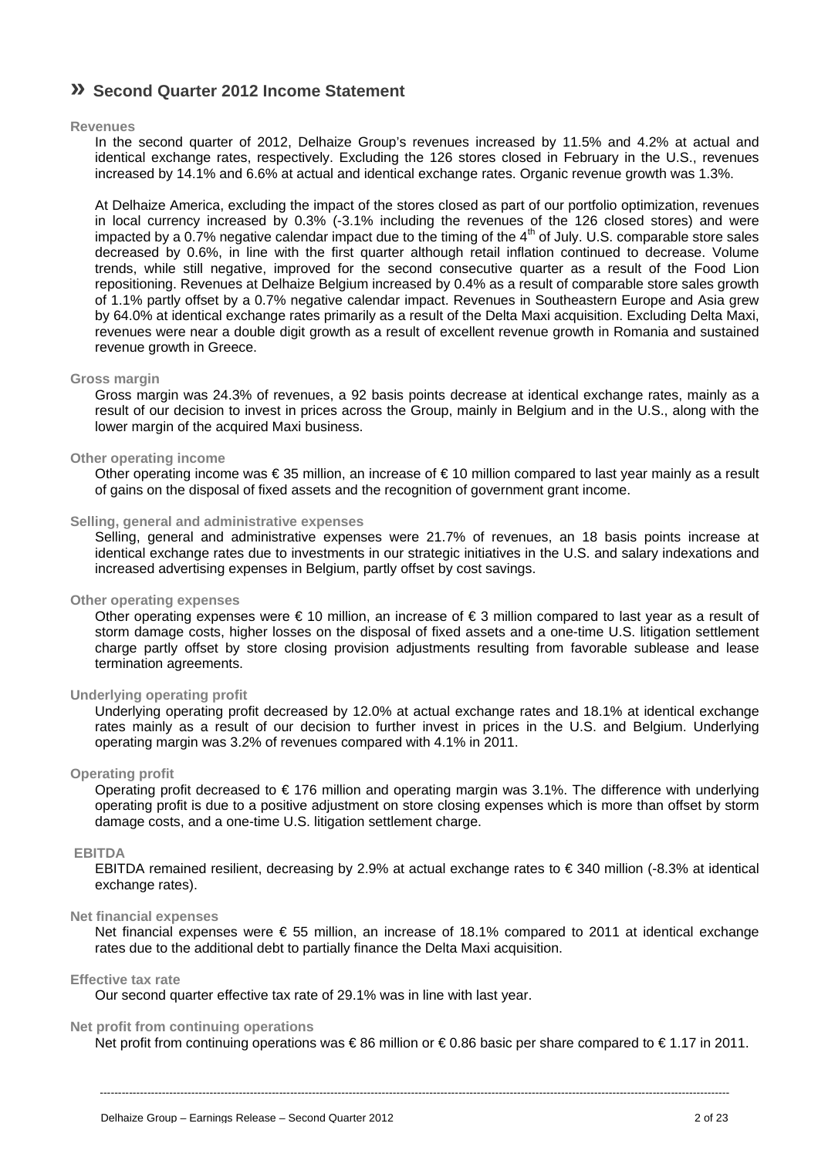## **» Second Quarter 2012 Income Statement**

### **Revenues**

In the second quarter of 2012, Delhaize Group's revenues increased by 11.5% and 4.2% at actual and identical exchange rates, respectively. Excluding the 126 stores closed in February in the U.S., revenues increased by 14.1% and 6.6% at actual and identical exchange rates. Organic revenue growth was 1.3%.

At Delhaize America, excluding the impact of the stores closed as part of our portfolio optimization, revenues in local currency increased by 0.3% (-3.1% including the revenues of the 126 closed stores) and were impacted by a  $0.7\%$  negative calendar impact due to the timing of the  $4<sup>th</sup>$  of July. U.S. comparable store sales decreased by 0.6%, in line with the first quarter although retail inflation continued to decrease. Volume trends, while still negative, improved for the second consecutive quarter as a result of the Food Lion repositioning. Revenues at Delhaize Belgium increased by 0.4% as a result of comparable store sales growth of 1.1% partly offset by a 0.7% negative calendar impact. Revenues in Southeastern Europe and Asia grew by 64.0% at identical exchange rates primarily as a result of the Delta Maxi acquisition. Excluding Delta Maxi, revenues were near a double digit growth as a result of excellent revenue growth in Romania and sustained revenue growth in Greece.

#### **Gross margin**

Gross margin was 24.3% of revenues, a 92 basis points decrease at identical exchange rates, mainly as a result of our decision to invest in prices across the Group, mainly in Belgium and in the U.S., along with the lower margin of the acquired Maxi business.

### **Other operating income**

Other operating income was € 35 million, an increase of € 10 million compared to last year mainly as a result of gains on the disposal of fixed assets and the recognition of government grant income.

### **Selling, general and administrative expenses**

Selling, general and administrative expenses were 21.7% of revenues, an 18 basis points increase at identical exchange rates due to investments in our strategic initiatives in the U.S. and salary indexations and increased advertising expenses in Belgium, partly offset by cost savings.

### **Other operating expenses**

Other operating expenses were  $\in$  10 million, an increase of  $\in$  3 million compared to last year as a result of storm damage costs, higher losses on the disposal of fixed assets and a one-time U.S. litigation settlement charge partly offset by store closing provision adjustments resulting from favorable sublease and lease termination agreements.

### **Underlying operating profit**

Underlying operating profit decreased by 12.0% at actual exchange rates and 18.1% at identical exchange rates mainly as a result of our decision to further invest in prices in the U.S. and Belgium. Underlying operating margin was 3.2% of revenues compared with 4.1% in 2011.

### **Operating profit**

Operating profit decreased to  $\epsilon$  176 million and operating margin was 3.1%. The difference with underlying operating profit is due to a positive adjustment on store closing expenses which is more than offset by storm damage costs, and a one-time U.S. litigation settlement charge.

### **EBITDA**

EBITDA remained resilient, decreasing by 2.9% at actual exchange rates to € 340 million (-8.3% at identical exchange rates).

### **Net financial expenses**

Net financial expenses were € 55 million, an increase of 18.1% compared to 2011 at identical exchange rates due to the additional debt to partially finance the Delta Maxi acquisition.

#### **Effective tax rate**

Our second quarter effective tax rate of 29.1% was in line with last year.

### **Net profit from continuing operations**

Net profit from continuing operations was € 86 million or € 0.86 basic per share compared to € 1.17 in 2011.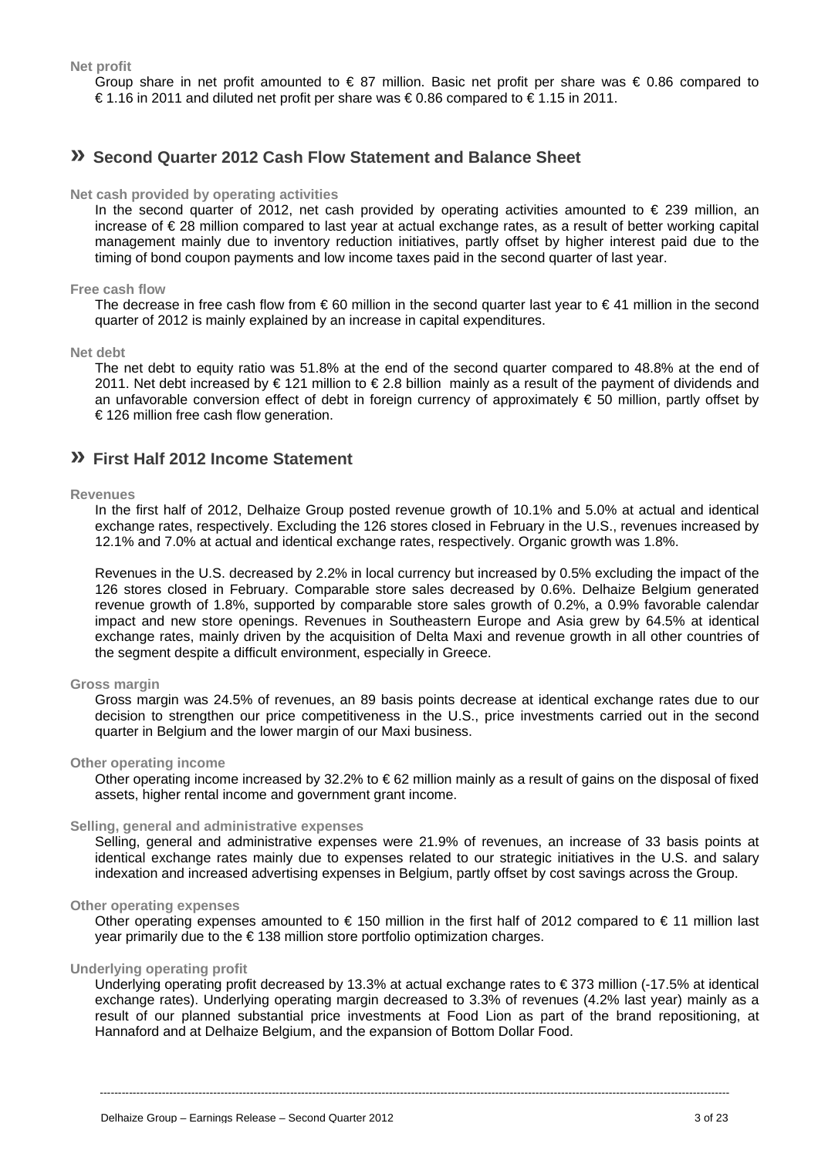**Net profit** 

Group share in net profit amounted to  $\in$  87 million. Basic net profit per share was  $\in$  0.86 compared to € 1.16 in 2011 and diluted net profit per share was € 0.86 compared to € 1.15 in 2011.

## **» Second Quarter 2012 Cash Flow Statement and Balance Sheet**

### **Net cash provided by operating activities**

In the second quarter of 2012, net cash provided by operating activities amounted to  $\epsilon$  239 million, an increase of € 28 million compared to last year at actual exchange rates, as a result of better working capital management mainly due to inventory reduction initiatives, partly offset by higher interest paid due to the timing of bond coupon payments and low income taxes paid in the second quarter of last year.

### **Free cash flow**

The decrease in free cash flow from  $\epsilon$  60 million in the second quarter last year to  $\epsilon$  41 million in the second quarter of 2012 is mainly explained by an increase in capital expenditures.

### **Net debt**

The net debt to equity ratio was 51.8% at the end of the second quarter compared to 48.8% at the end of 2011. Net debt increased by € 121 million to € 2.8 billion mainly as a result of the payment of dividends and an unfavorable conversion effect of debt in foreign currency of approximately  $\epsilon$  50 million, partly offset by € 126 million free cash flow generation.

### **» First Half 2012 Income Statement**

### **Revenues**

In the first half of 2012, Delhaize Group posted revenue growth of 10.1% and 5.0% at actual and identical exchange rates, respectively. Excluding the 126 stores closed in February in the U.S., revenues increased by 12.1% and 7.0% at actual and identical exchange rates, respectively. Organic growth was 1.8%.

Revenues in the U.S. decreased by 2.2% in local currency but increased by 0.5% excluding the impact of the 126 stores closed in February. Comparable store sales decreased by 0.6%. Delhaize Belgium generated revenue growth of 1.8%, supported by comparable store sales growth of 0.2%, a 0.9% favorable calendar impact and new store openings. Revenues in Southeastern Europe and Asia grew by 64.5% at identical exchange rates, mainly driven by the acquisition of Delta Maxi and revenue growth in all other countries of the segment despite a difficult environment, especially in Greece.

### **Gross margin**

Gross margin was 24.5% of revenues, an 89 basis points decrease at identical exchange rates due to our decision to strengthen our price competitiveness in the U.S., price investments carried out in the second quarter in Belgium and the lower margin of our Maxi business.

### **Other operating income**

Other operating income increased by 32.2% to € 62 million mainly as a result of gains on the disposal of fixed assets, higher rental income and government grant income.

### **Selling, general and administrative expenses**

Selling, general and administrative expenses were 21.9% of revenues, an increase of 33 basis points at identical exchange rates mainly due to expenses related to our strategic initiatives in the U.S. and salary indexation and increased advertising expenses in Belgium, partly offset by cost savings across the Group.

### **Other operating expenses**

Other operating expenses amounted to  $\epsilon$  150 million in the first half of 2012 compared to  $\epsilon$  11 million last year primarily due to the € 138 million store portfolio optimization charges.

### **Underlying operating profit**

Underlying operating profit decreased by 13.3% at actual exchange rates to € 373 million (-17.5% at identical exchange rates). Underlying operating margin decreased to 3.3% of revenues (4.2% last year) mainly as a result of our planned substantial price investments at Food Lion as part of the brand repositioning, at Hannaford and at Delhaize Belgium, and the expansion of Bottom Dollar Food.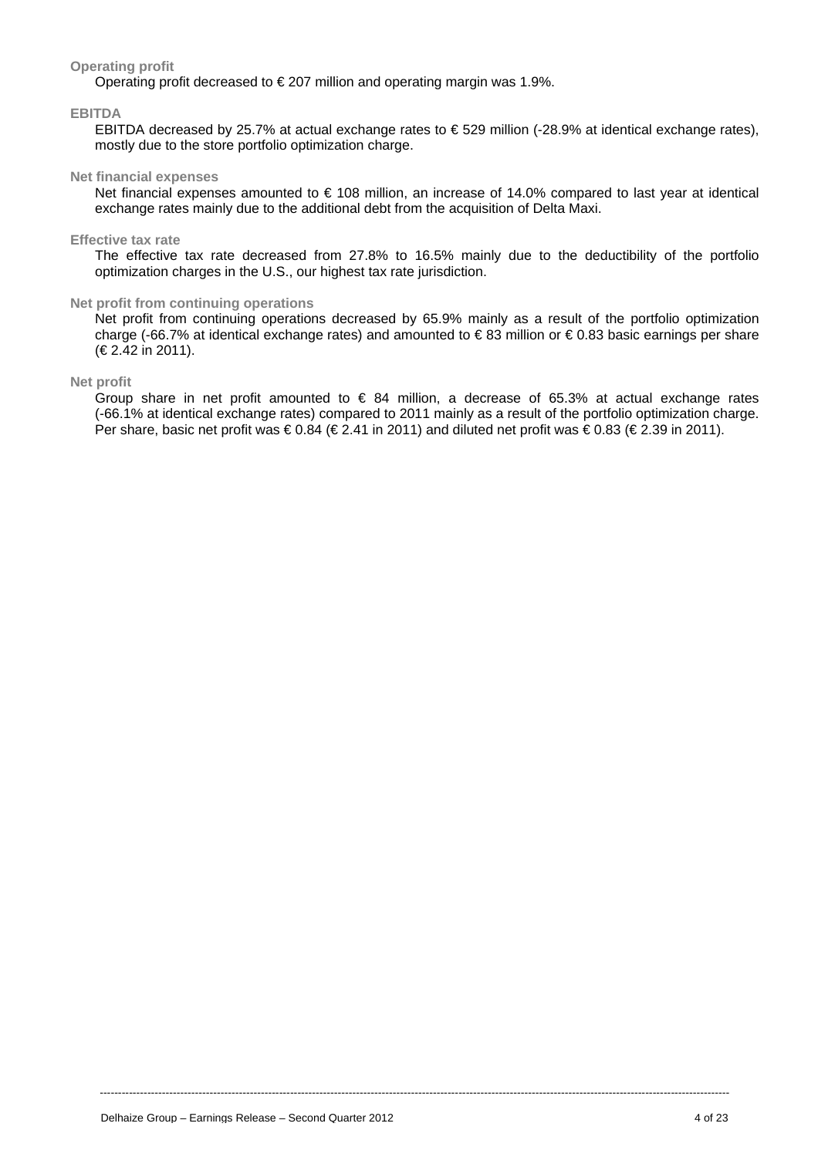### **Operating profit**

Operating profit decreased to € 207 million and operating margin was 1.9%.

### **EBITDA**

EBITDA decreased by 25.7% at actual exchange rates to € 529 million (-28.9% at identical exchange rates), mostly due to the store portfolio optimization charge.

### **Net financial expenses**

Net financial expenses amounted to € 108 million, an increase of 14.0% compared to last year at identical exchange rates mainly due to the additional debt from the acquisition of Delta Maxi.

### **Effective tax rate**

The effective tax rate decreased from 27.8% to 16.5% mainly due to the deductibility of the portfolio optimization charges in the U.S., our highest tax rate jurisdiction.

### **Net profit from continuing operations**

Net profit from continuing operations decreased by 65.9% mainly as a result of the portfolio optimization charge (-66.7% at identical exchange rates) and amounted to € 83 million or € 0.83 basic earnings per share (€ 2.42 in 2011).

### **Net profit**

Group share in net profit amounted to  $\epsilon$  84 million, a decrease of 65.3% at actual exchange rates (-66.1% at identical exchange rates) compared to 2011 mainly as a result of the portfolio optimization charge. Per share, basic net profit was € 0.84 (€ 2.41 in 2011) and diluted net profit was € 0.83 (€ 2.39 in 2011).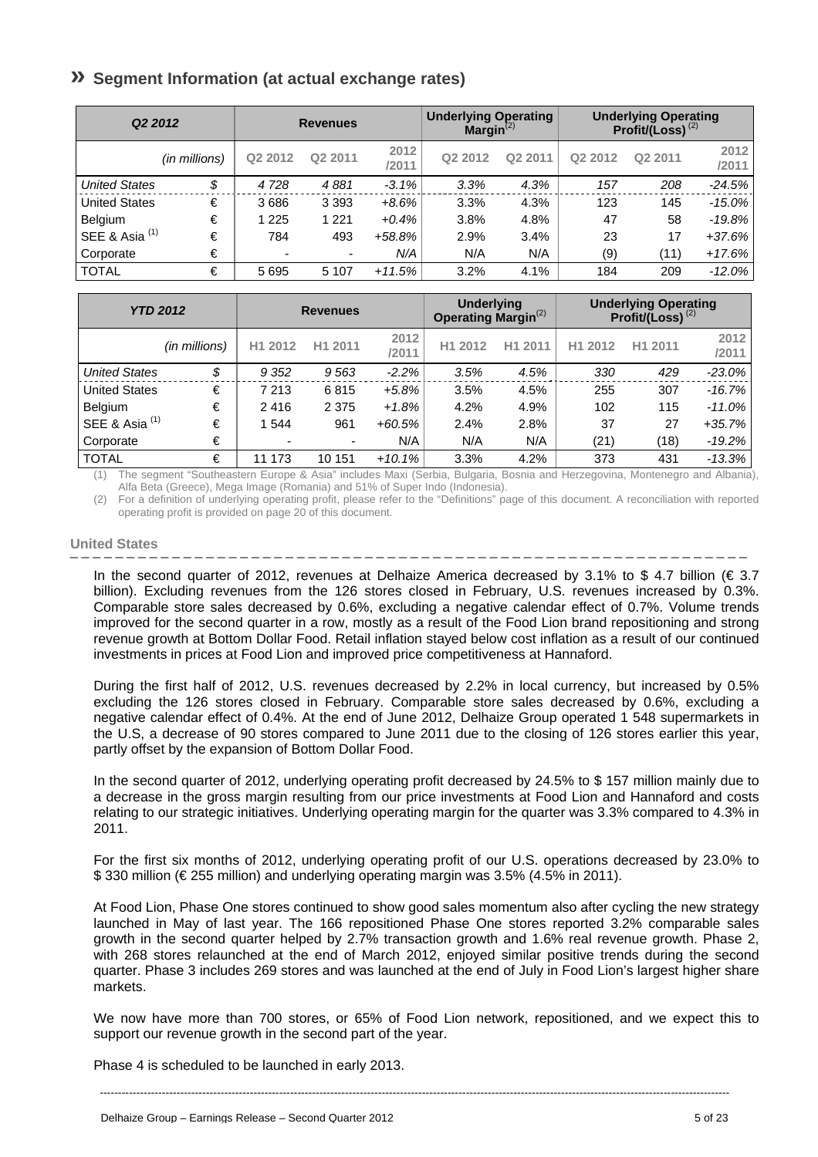## **» Segment Information (at actual exchange rates)**

| Q <sub>2</sub> 2012  |               |         | <b>Revenues</b> |               | <b>Underlying Operating</b><br>Margin $^{(2)}$ |         |         | <b>Underlying Operating</b><br>Profit/(Loss) $^{(2)}$ |               |
|----------------------|---------------|---------|-----------------|---------------|------------------------------------------------|---------|---------|-------------------------------------------------------|---------------|
|                      | (in millions) | Q2 2012 | Q2 2011         | 2012<br>/2011 | Q2 2012                                        | Q2 2011 | Q2 2012 | Q2 2011                                               | 2012<br>/2011 |
| <b>United States</b> | \$            | 4728    | 4881            | $-3.1%$       | 3.3%                                           | 4.3%    | 157     | 208                                                   | $-24.5%$      |
| <b>United States</b> | €             | 3686    | 3 3 9 3         | $+8.6%$       | 3.3%                                           | 4.3%    | 123     | 145                                                   | $-15.0\%$     |
| Belgium              | €             | 1 2 2 5 | 1 2 2 1         | $+0.4%$       | 3.8%                                           | 4.8%    | 47      | 58                                                    | $-19.8%$      |
| SEE & Asia $(1)$     | €             | 784     | 493             | $+58.8%$      | 2.9%                                           | 3.4%    | 23      | 17                                                    | $+37.6%$      |
| Corporate            | €             | ۰       | ۰.              | N/A           | N/A                                            | N/A     | (9)     | (11)                                                  | $+17.6%$      |
| <b>TOTAL</b>         | €             | 5695    | 5 1 0 7         | $+11.5%$      | 3.2%                                           | 4.1%    | 184     | 209                                                   | $-12.0\%$     |

| <b>YTD 2012</b>           |               |                          | <b>Revenues</b> |               | <b>Underlying</b><br><b>Operating Margin</b> <sup>(2)</sup> |         |         | <b>Underlying Operating</b><br>Profit/(Loss) $^{(2)}$ |               |
|---------------------------|---------------|--------------------------|-----------------|---------------|-------------------------------------------------------------|---------|---------|-------------------------------------------------------|---------------|
|                           | (in millions) | H1 2012                  | H1 2011         | 2012<br>/2011 | H1 2012                                                     | H1 2011 | H1 2012 | H1 2011                                               | 2012<br>/2011 |
| <b>United States</b>      | \$            | 9 3 5 2                  | 9563            | $-2.2%$       | 3.5%                                                        | 4.5%    | 330     | 429                                                   | $-23.0%$      |
| <b>United States</b>      | €             | 7 2 1 3                  | 6815            | $+5.8%$       | 3.5%                                                        | 4.5%    | 255     | 307                                                   | $-16.7%$      |
| Belgium                   | €             | 2416                     | 2 3 7 5         | $+1.8%$       | 4.2%                                                        | 4.9%    | 102     | 115                                                   | $-11.0\%$     |
| SEE & Asia <sup>(1)</sup> | €             | 1 544                    | 961             | $+60.5%$      | 2.4%                                                        | 2.8%    | 37      | 27                                                    | $+35.7%$      |
| Corporate                 | €             | $\overline{\phantom{0}}$ | ٠               | N/A           | N/A                                                         | N/A     | (21)    | (18)                                                  | $-19.2%$      |
| <b>TOTAL</b>              | €             | 11 173                   | 10 151          | $+10.1%$      | 3.3%                                                        | 4.2%    | 373     | 431                                                   | -13.3%        |

(1) The segment "Southeastern Europe & Asia" includes Maxi (Serbia, Bulgaria, Bosnia and Herzegovina, Montenegro and Albania), Alfa Beta (Greece), Mega Image (Romania) and 51% of Super Indo (Indonesia).

(2) For a definition of underlying operating profit, please refer to the "Definitions" page of this document. A reconciliation with reported operating profit is provided on page 20 of this document.

### **United States**

In the second quarter of 2012, revenues at Delhaize America decreased by 3.1% to \$ 4.7 billion (€ 3.7 billion). Excluding revenues from the 126 stores closed in February, U.S. revenues increased by 0.3%. Comparable store sales decreased by 0.6%, excluding a negative calendar effect of 0.7%. Volume trends improved for the second quarter in a row, mostly as a result of the Food Lion brand repositioning and strong revenue growth at Bottom Dollar Food. Retail inflation stayed below cost inflation as a result of our continued investments in prices at Food Lion and improved price competitiveness at Hannaford.

During the first half of 2012, U.S. revenues decreased by 2.2% in local currency, but increased by 0.5% excluding the 126 stores closed in February. Comparable store sales decreased by 0.6%, excluding a negative calendar effect of 0.4%. At the end of June 2012, Delhaize Group operated 1 548 supermarkets in the U.S, a decrease of 90 stores compared to June 2011 due to the closing of 126 stores earlier this year, partly offset by the expansion of Bottom Dollar Food.

In the second quarter of 2012, underlying operating profit decreased by 24.5% to \$ 157 million mainly due to a decrease in the gross margin resulting from our price investments at Food Lion and Hannaford and costs relating to our strategic initiatives. Underlying operating margin for the quarter was 3.3% compared to 4.3% in 2011.

For the first six months of 2012, underlying operating profit of our U.S. operations decreased by 23.0% to \$ 330 million (€ 255 million) and underlying operating margin was 3.5% (4.5% in 2011).

At Food Lion, Phase One stores continued to show good sales momentum also after cycling the new strategy launched in May of last year. The 166 repositioned Phase One stores reported 3.2% comparable sales growth in the second quarter helped by 2.7% transaction growth and 1.6% real revenue growth. Phase 2, with 268 stores relaunched at the end of March 2012, enjoyed similar positive trends during the second quarter. Phase 3 includes 269 stores and was launched at the end of July in Food Lion's largest higher share markets.

We now have more than 700 stores, or 65% of Food Lion network, repositioned, and we expect this to support our revenue growth in the second part of the year.

Phase 4 is scheduled to be launched in early 2013.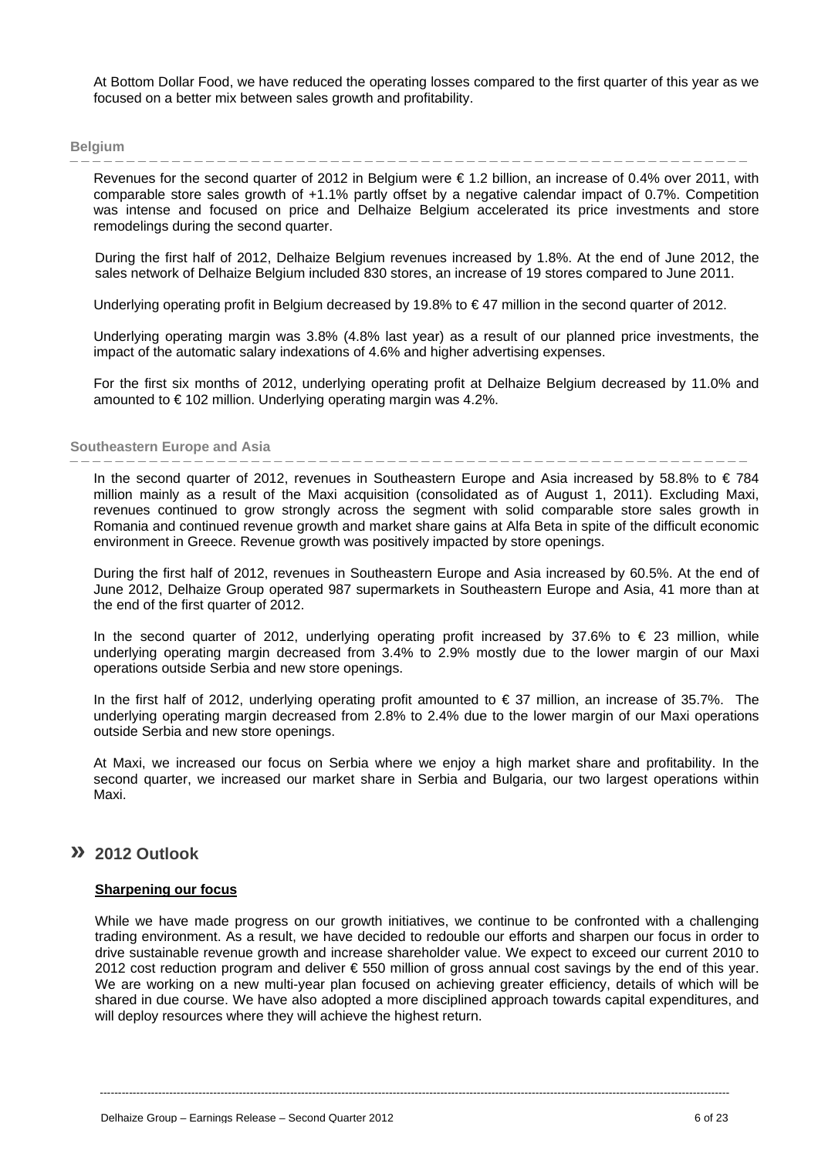At Bottom Dollar Food, we have reduced the operating losses compared to the first quarter of this year as we focused on a better mix between sales growth and profitability.

Revenues for the second quarter of 2012 in Belgium were € 1.2 billion, an increase of 0.4% over 2011, with comparable store sales growth of +1.1% partly offset by a negative calendar impact of 0.7%. Competition was intense and focused on price and Delhaize Belgium accelerated its price investments and store remodelings during the second quarter.

During the first half of 2012, Delhaize Belgium revenues increased by 1.8%. At the end of June 2012, the sales network of Delhaize Belgium included 830 stores, an increase of 19 stores compared to June 2011.

Underlying operating profit in Belgium decreased by 19.8% to € 47 million in the second quarter of 2012.

Underlying operating margin was 3.8% (4.8% last year) as a result of our planned price investments, the impact of the automatic salary indexations of 4.6% and higher advertising expenses.

For the first six months of 2012, underlying operating profit at Delhaize Belgium decreased by 11.0% and amounted to € 102 million. Underlying operating margin was 4.2%.

### **Southeastern Europe and Asia**

In the second quarter of 2012, revenues in Southeastern Europe and Asia increased by 58.8% to  $\in 784$ million mainly as a result of the Maxi acquisition (consolidated as of August 1, 2011). Excluding Maxi, revenues continued to grow strongly across the segment with solid comparable store sales growth in Romania and continued revenue growth and market share gains at Alfa Beta in spite of the difficult economic environment in Greece. Revenue growth was positively impacted by store openings.

During the first half of 2012, revenues in Southeastern Europe and Asia increased by 60.5%. At the end of June 2012, Delhaize Group operated 987 supermarkets in Southeastern Europe and Asia, 41 more than at the end of the first quarter of 2012.

In the second quarter of 2012, underlying operating profit increased by 37.6% to  $\epsilon$  23 million, while underlying operating margin decreased from 3.4% to 2.9% mostly due to the lower margin of our Maxi operations outside Serbia and new store openings.

In the first half of 2012, underlying operating profit amounted to  $\epsilon$  37 million, an increase of 35.7%. The underlying operating margin decreased from 2.8% to 2.4% due to the lower margin of our Maxi operations outside Serbia and new store openings.

At Maxi, we increased our focus on Serbia where we enjoy a high market share and profitability. In the second quarter, we increased our market share in Serbia and Bulgaria, our two largest operations within Maxi.

### **» 2012 Outlook**

#### **Sharpening our focus**

While we have made progress on our growth initiatives, we continue to be confronted with a challenging trading environment. As a result, we have decided to redouble our efforts and sharpen our focus in order to drive sustainable revenue growth and increase shareholder value. We expect to exceed our current 2010 to 2012 cost reduction program and deliver € 550 million of gross annual cost savings by the end of this year. We are working on a new multi-vear plan focused on achieving greater efficiency, details of which will be shared in due course. We have also adopted a more disciplined approach towards capital expenditures, and will deploy resources where they will achieve the highest return.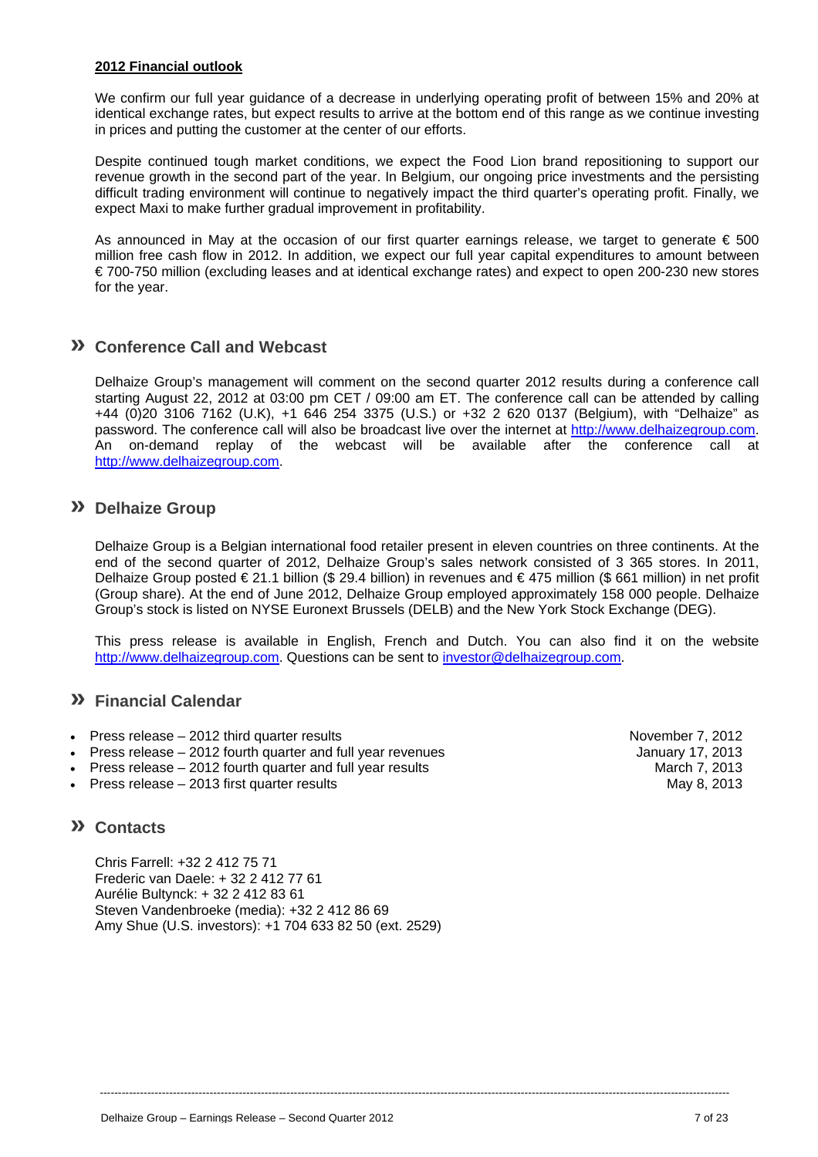### **2012 Financial outlook**

We confirm our full year guidance of a decrease in underlying operating profit of between 15% and 20% at identical exchange rates, but expect results to arrive at the bottom end of this range as we continue investing in prices and putting the customer at the center of our efforts.

Despite continued tough market conditions, we expect the Food Lion brand repositioning to support our revenue growth in the second part of the year. In Belgium, our ongoing price investments and the persisting difficult trading environment will continue to negatively impact the third quarter's operating profit. Finally, we expect Maxi to make further gradual improvement in profitability.

As announced in May at the occasion of our first quarter earnings release, we target to generate  $\epsilon$  500 million free cash flow in 2012. In addition, we expect our full year capital expenditures to amount between € 700-750 million (excluding leases and at identical exchange rates) and expect to open 200-230 new stores for the year.

## **» Conference Call and Webcast**

Delhaize Group's management will comment on the second quarter 2012 results during a conference call starting August 22, 2012 at 03:00 pm CET / 09:00 am ET. The conference call can be attended by calling +44 (0)20 3106 7162 (U.K), +1 646 254 3375 (U.S.) or +32 2 620 0137 (Belgium), with "Delhaize" as password. The conference call will also be broadcast live over the internet at http://www.delhaizegroup.com. An on-demand replay of the webcast will be available after the conference call at http://www.delhaizegroup.com.

### **» Delhaize Group**

Delhaize Group is a Belgian international food retailer present in eleven countries on three continents. At the end of the second quarter of 2012, Delhaize Group's sales network consisted of 3 365 stores. In 2011, Delhaize Group posted € 21.1 billion (\$ 29.4 billion) in revenues and € 475 million (\$ 661 million) in net profit (Group share). At the end of June 2012, Delhaize Group employed approximately 158 000 people. Delhaize Group's stock is listed on NYSE Euronext Brussels (DELB) and the New York Stock Exchange (DEG).

This press release is available in English, French and Dutch. You can also find it on the website http://www.delhaizegroup.com. Questions can be sent to investor@delhaizegroup.com.

----------------------------------------------------------------------------------------------------------------------------------------------------------------------------

### **» Financial Calendar**

- Press release 2012 third quarter results November 7, 2012
- Press release 2012 fourth quarter and full year revenues January 17, 2013
- Press release 2012 fourth quarter and full year results March 7, 2013
- Press release 2013 first quarter results May 8, 2013

## **» Contacts**

Chris Farrell: +32 2 412 75 71 Frederic van Daele: + 32 2 412 77 61 Aurélie Bultynck: + 32 2 412 83 61 Steven Vandenbroeke (media): +32 2 412 86 69 Amy Shue (U.S. investors): +1 704 633 82 50 (ext. 2529)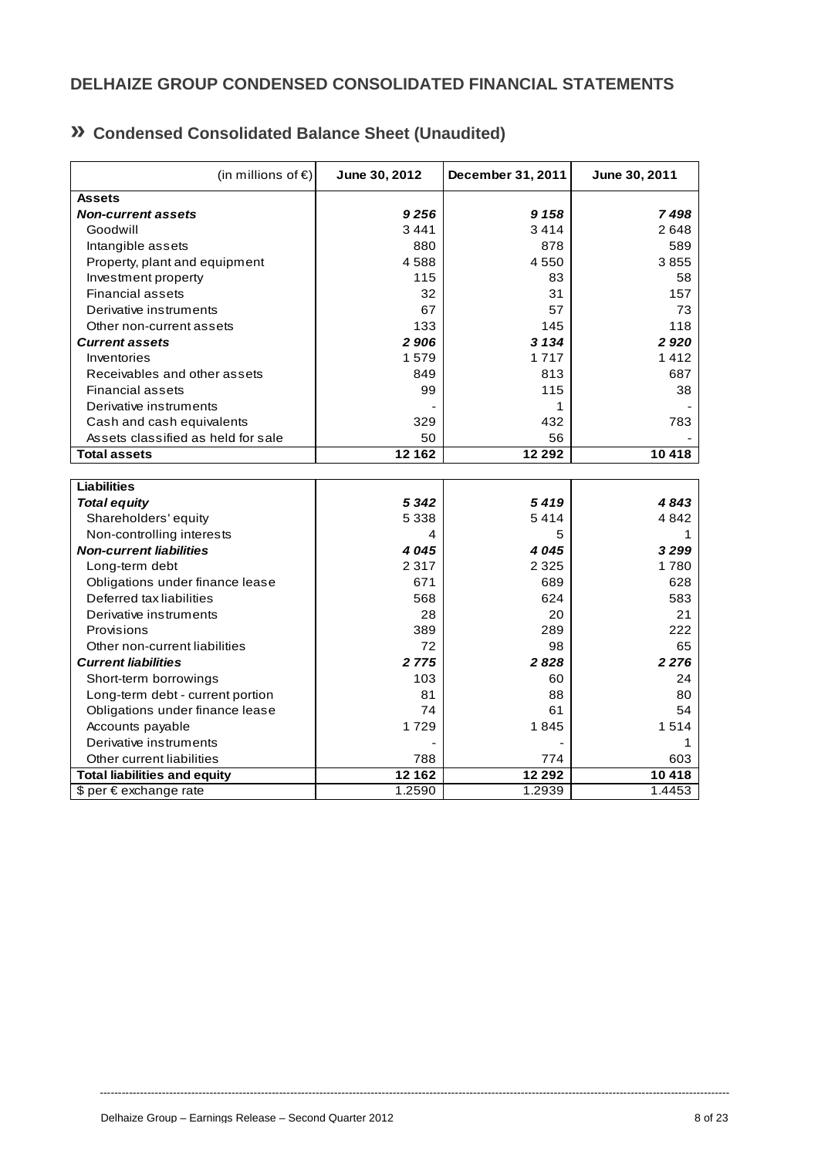## **DELHAIZE GROUP CONDENSED CONSOLIDATED FINANCIAL STATEMENTS**

| » Condensed Consolidated Balance Sheet (Unaudited) |
|----------------------------------------------------|
|----------------------------------------------------|

| (in millions of $\epsilon$ )        | June 30, 2012 | December 31, 2011 | June 30, 2011 |
|-------------------------------------|---------------|-------------------|---------------|
| <b>Assets</b>                       |               |                   |               |
| <b>Non-current assets</b>           | 9 2 5 6       | 9 1 5 8           | 7498          |
| Goodwill                            | 3441          | 3414              | 2648          |
| Intangible assets                   | 880           | 878               | 589           |
| Property, plant and equipment       | 4588          | 4550              | 3855          |
| Investment property                 | 115           | 83                | 58            |
| <b>Financial assets</b>             | 32            | 31                | 157           |
| Derivative instruments              | 67            | 57                | 73            |
| Other non-current assets            | 133           | 145               | 118           |
| <b>Current assets</b>               | 2906          | 3 1 3 4           | 2920          |
| Inventories                         | 1579          | 1717              | 1412          |
| Receivables and other assets        | 849           | 813               | 687           |
| <b>Financial assets</b>             | 99            | 115               | 38            |
| Derivative instruments              |               | 1                 |               |
| Cash and cash equivalents           | 329           | 432               | 783           |
| Assets classified as held for sale  | 50            | 56                |               |
| <b>Total assets</b>                 | 12 162        | 12 29 2           | 10418         |
|                                     |               |                   |               |
| <b>Liabilities</b>                  |               |                   |               |
| <b>Total equity</b>                 | 5 3 4 2       | 5419              | 4843          |
| Shareholders' equity                | 5 3 3 8       | 5414              | 4842          |
| Non-controlling interests           | 4             | 5                 | 1             |
| <b>Non-current liabilities</b>      | 4045          | 4045              | 3299          |
| Long-term debt                      | 2 3 1 7       | 2 3 2 5           | 1780          |
| Obligations under finance lease     | 671           | 689               | 628           |
| Deferred tax liabilities            | 568           | 624               | 583           |
| Derivative instruments              | 28            | 20                | 21            |
| Provisions                          | 389           | 289               | 222           |
| Other non-current liabilities       | 72            | 98                | 65            |
| <b>Current liabilities</b>          | 2 7 7 5       | 2828              | 2 2 7 6       |
| Short-term borrowings               | 103           | 60                | 24            |
| Long-term debt - current portion    | 81            | 88                | 80            |
| Obligations under finance lease     | 74            | 61                | 54            |
| Accounts payable                    | 1729          | 1845              | 1514          |
| Derivative instruments              |               |                   | 1             |
| Other current liabilities           | 788           | 774               | 603           |
| <b>Total liabilities and equity</b> | 12 162        | 12 29 2           | 10 418        |
| \$ per € exchange rate              | 1.2590        | 1.2939            | 1.4453        |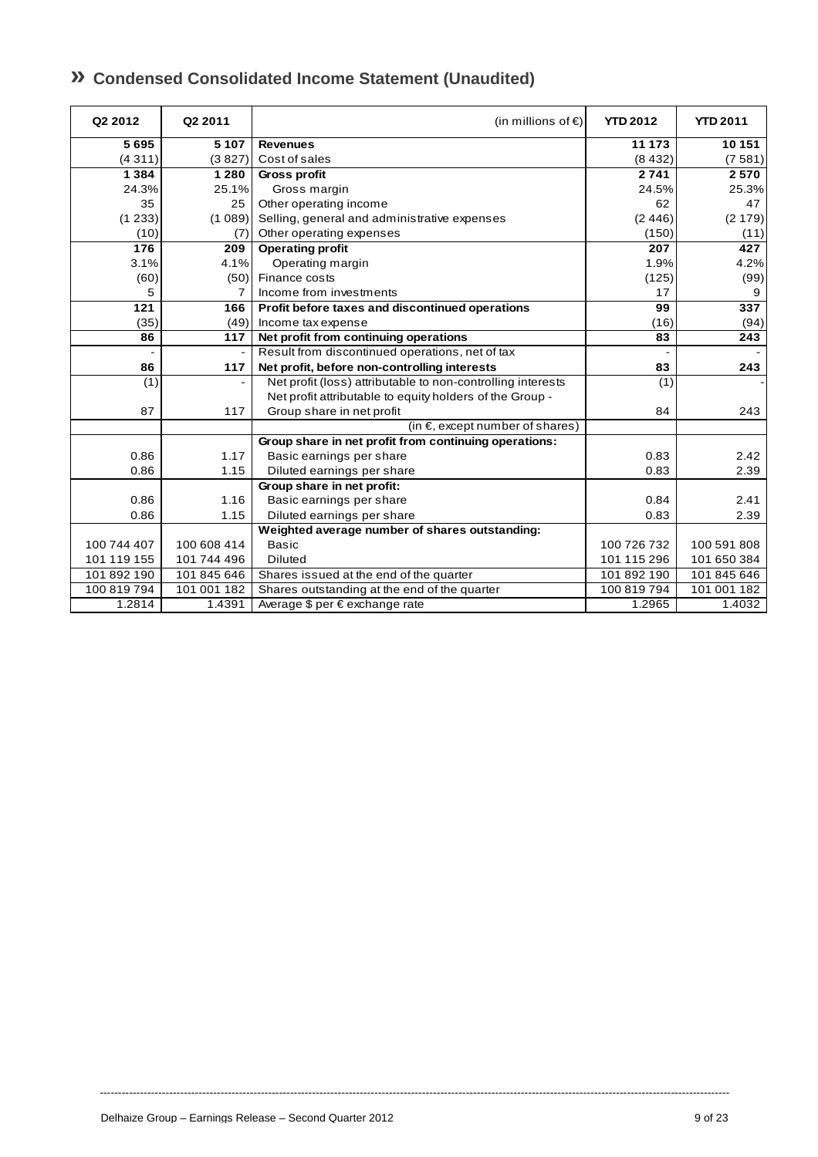## **» Condensed Consolidated Income Statement (Unaudited)**

| Q2 2012     | Q2 2011        | (in millions of $\epsilon$ )                                | <b>YTD 2012</b> | <b>YTD 2011</b> |
|-------------|----------------|-------------------------------------------------------------|-----------------|-----------------|
| 5695        | 5 1 0 7        | <b>Revenues</b>                                             | 11 173          | 10 151          |
| (4311)      | (3827)         | Cost of sales                                               | (8432)          | (7581)          |
| 1 3 8 4     | 1 2 8 0        | Gross profit                                                | 2741            | 2570            |
| 24.3%       | 25.1%          | Gross margin                                                | 24.5%           | 25.3%           |
| 35          | 25             | Other operating income                                      | 62              | 47              |
| (1233)      | (1089)         | Selling, general and administrative expenses                | (2446)          | (2179)          |
| (10)        | (7)            | Other operating expenses                                    | (150)           | (11)            |
| 176         | 209            | <b>Operating profit</b>                                     | 207             | 427             |
| 3.1%        | 4.1%           | Operating margin                                            | 1.9%            | 4.2%            |
| (60)        | (50)           | Finance costs                                               | (125)           | (99)            |
| 5           | 7              | Income from investments                                     | 17              | 9               |
| 121         | 166            | Profit before taxes and discontinued operations             | 99              | 337             |
| (35)        | (49)           | Income tax expense                                          | (16)            | (94)            |
| 86          | 117            | Net profit from continuing operations                       | 83              | 243             |
|             | $\overline{a}$ | Result from discontinued operations, net of tax             | $\overline{a}$  |                 |
| 86          | 117            | Net profit, before non-controlling interests                | 83              | 243             |
| (1)         |                | Net profit (loss) attributable to non-controlling interests | (1)             |                 |
|             |                | Net profit attributable to equity holders of the Group -    |                 |                 |
| 87          | 117            | Group share in net profit                                   | 84              | 243             |
|             |                | (in $\epsilon$ , except number of shares)                   |                 |                 |
|             |                | Group share in net profit from continuing operations:       |                 |                 |
| 0.86        | 1.17           | Basic earnings per share                                    | 0.83            | 2.42            |
| 0.86        | 1.15           | Diluted earnings per share                                  | 0.83            | 2.39            |
|             |                | Group share in net profit:                                  |                 |                 |
| 0.86        | 1.16           | Basic earnings per share                                    | 0.84            | 2.41            |
| 0.86        | 1.15           | Diluted earnings per share                                  | 0.83            | 2.39            |
|             |                | Weighted average number of shares outstanding:              |                 |                 |
| 100 744 407 | 100 608 414    | <b>Basic</b>                                                | 100 726 732     | 100 591 808     |
| 101 119 155 | 101 744 496    | <b>Diluted</b>                                              | 101 115 296     | 101 650 384     |
| 101 892 190 | 101 845 646    | Shares issued at the end of the quarter                     | 101 892 190     | 101 845 646     |
| 100 819 794 | 101 001 182    | Shares outstanding at the end of the quarter                | 100 819 794     | 101 001 182     |
| 1.2814      | 1.4391         | Average \$ per € exchange rate                              | 1.2965          | 1.4032          |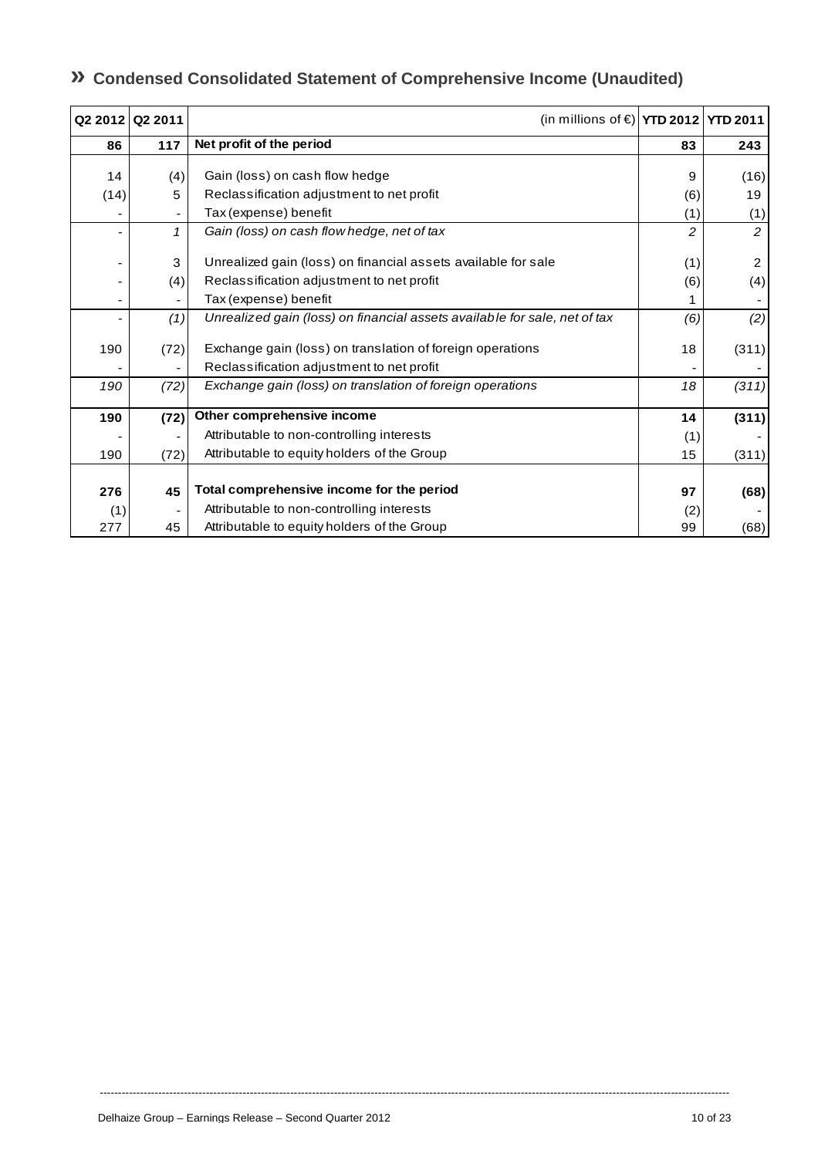## **» Condensed Consolidated Statement of Comprehensive Income (Unaudited)**

| Q2 2012 Q2 2011 |          | (in millions of €) YTD 2012 YTD 2011                                                                       |            |                       |
|-----------------|----------|------------------------------------------------------------------------------------------------------------|------------|-----------------------|
| 86              | 117      | Net profit of the period                                                                                   | 83         | 243                   |
| 14              | (4)      | Gain (loss) on cash flow hedge                                                                             | 9          | (16)                  |
| (14)            | 5        | Reclassification adjustment to net profit                                                                  | (6)        | 19                    |
|                 |          | Tax (expense) benefit                                                                                      | (1)        | (1)                   |
|                 |          | Gain (loss) on cash flow hedge, net of tax                                                                 | 2          | $\overline{c}$        |
|                 | 3<br>(4) | Unrealized gain (loss) on financial assets available for sale<br>Reclassification adjustment to net profit | (1)<br>(6) | $\overline{2}$<br>(4) |
|                 |          | Tax (expense) benefit                                                                                      |            |                       |
|                 | (1)      | Unrealized gain (loss) on financial assets available for sale, net of tax                                  | (6)        | (2)                   |
| 190             | (72)     | Exchange gain (loss) on translation of foreign operations<br>Reclassification adjustment to net profit     | 18         | (311)                 |
| 190             | (72)     | Exchange gain (loss) on translation of foreign operations                                                  | 18         | (311)                 |
| 190             | (72)     | Other comprehensive income                                                                                 | 14         | (311)                 |
|                 |          | Attributable to non-controlling interests                                                                  | (1)        |                       |
| 190             | (72)     | Attributable to equity holders of the Group                                                                | 15         | (311)                 |
| 276<br>(1)      | 45       | Total comprehensive income for the period<br>Attributable to non-controlling interests                     | 97<br>(2)  | (68)                  |
| 277             | 45       | Attributable to equity holders of the Group                                                                | 99         | (68)                  |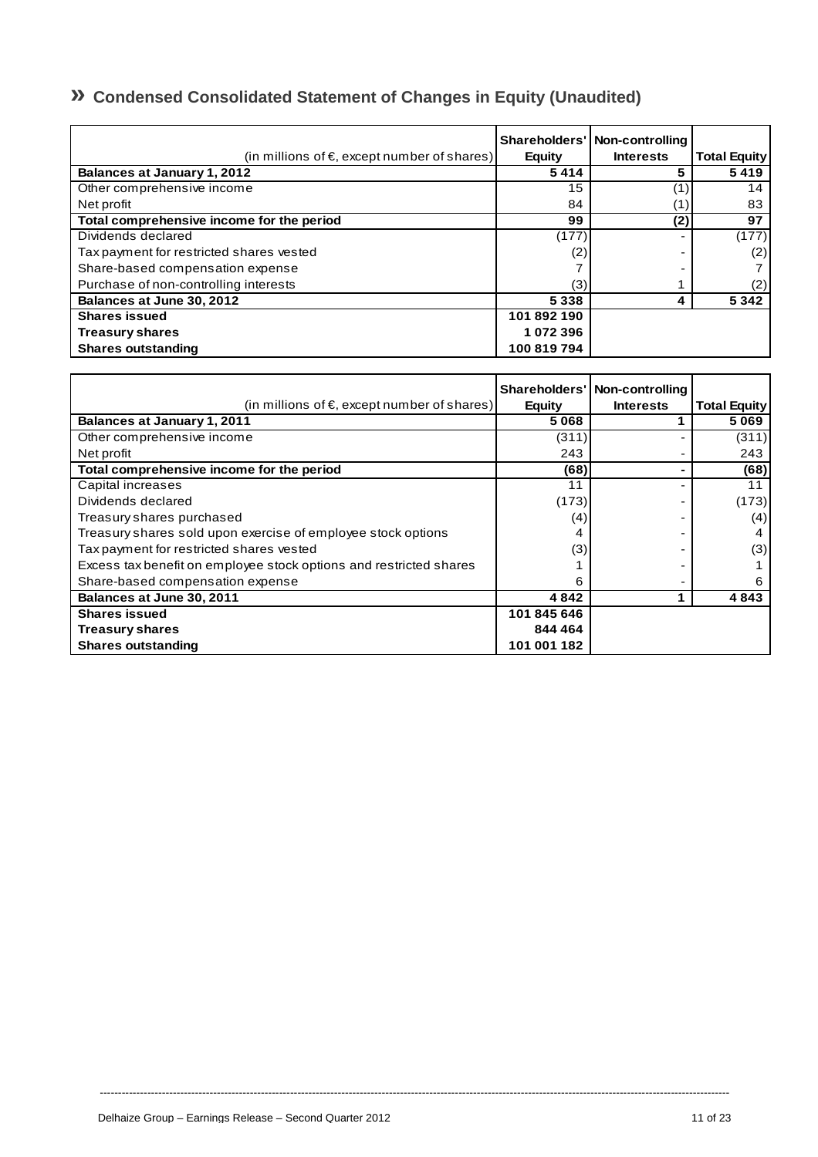## **» Condensed Consolidated Statement of Changes in Equity (Unaudited)**

| (in millions of $\epsilon$ , except number of shares) | <b>Equity</b> | Shareholders'   Non-controlling<br><b>Interests</b> | <b>Total Equity</b> |
|-------------------------------------------------------|---------------|-----------------------------------------------------|---------------------|
| <b>Balances at January 1, 2012</b>                    | 5414          | 5                                                   | 5419                |
| Other comprehensive income                            | 15            |                                                     | 14                  |
| Net profit                                            | 84            |                                                     | 83                  |
| Total comprehensive income for the period             | 99            | (2)                                                 | 97                  |
| Dividends declared                                    | (177)         |                                                     | (177)               |
| Tax payment for restricted shares vested              | (2)           |                                                     | (2)                 |
| Share-based compensation expense                      |               |                                                     |                     |
| Purchase of non-controlling interests                 | (3)           |                                                     | (2)                 |
| Balances at June 30, 2012                             | 5 3 3 8       | 4                                                   | 5 3 4 2             |
| <b>Shares issued</b>                                  | 101 892 190   |                                                     |                     |
| <b>Treasury shares</b>                                | 1072396       |                                                     |                     |
| <b>Shares outstanding</b>                             | 100 819 794   |                                                     |                     |

|                                                                    |               | Shareholders' Non-controlling |                     |
|--------------------------------------------------------------------|---------------|-------------------------------|---------------------|
| (in millions of $\epsilon$ , except number of shares)              | <b>Equity</b> | <b>Interests</b>              | <b>Total Equity</b> |
| <b>Balances at January 1, 2011</b>                                 | 5068          |                               | 5069                |
| Other comprehensive income                                         | (311)         |                               | (311)               |
| Net profit                                                         | 243           |                               | 243                 |
| Total comprehensive income for the period                          | (68)          |                               | (68)                |
| Capital increases                                                  | 11            |                               | 11                  |
| Dividends declared                                                 | (173)         |                               | (173)               |
| Treasury shares purchased                                          | (4)           |                               | (4)                 |
| Treasury shares sold upon exercise of employee stock options       | 4             |                               | 4                   |
| Tax payment for restricted shares vested                           | (3)           |                               | (3)                 |
| Excess tax benefit on employee stock options and restricted shares |               |                               |                     |
| Share-based compensation expense                                   | 6             |                               | 6                   |
| Balances at June 30, 2011                                          | 4842          |                               | 4843                |
| <b>Shares issued</b>                                               | 101 845 646   |                               |                     |
| <b>Treasury shares</b>                                             | 844 464       |                               |                     |
| <b>Shares outstanding</b>                                          | 101 001 182   |                               |                     |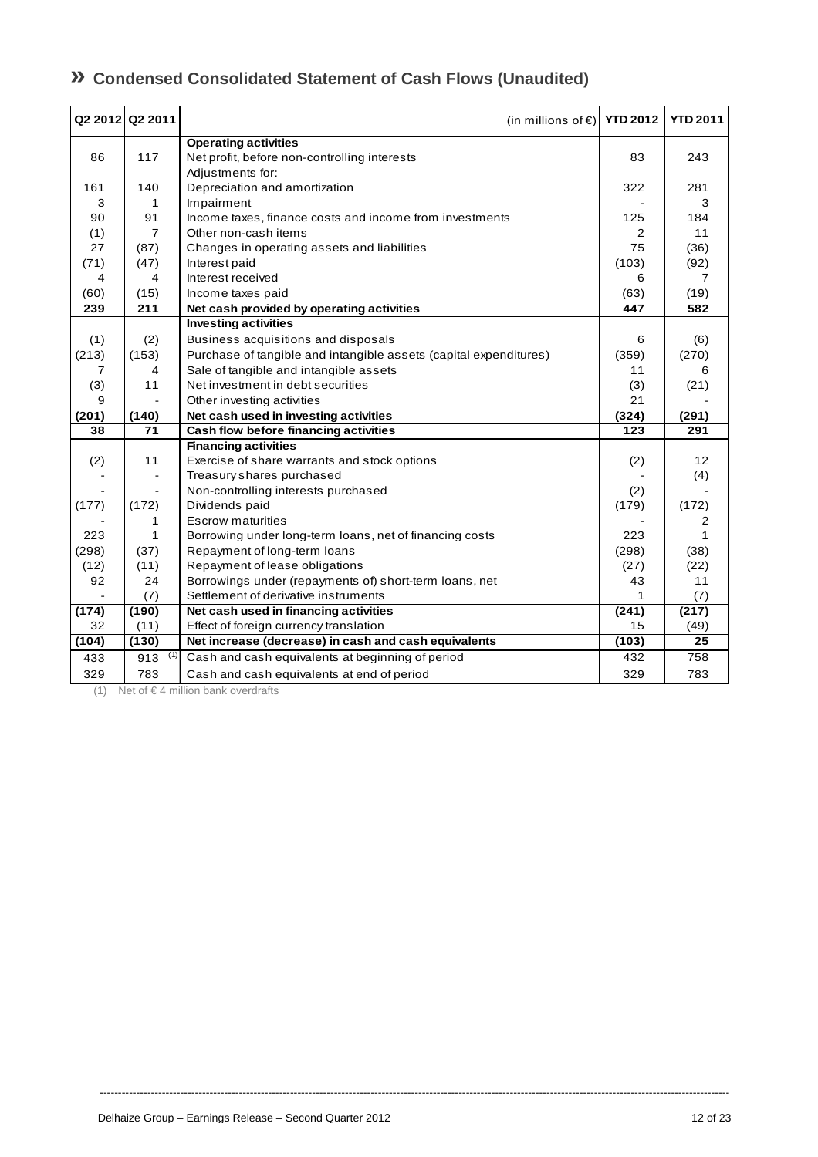## **» Condensed Consolidated Statement of Cash Flows (Unaudited)**

|       | Q2 2012 Q2 2011 | (in millions of €) YTD 2012                                       |                | <b>YTD 2011</b> |
|-------|-----------------|-------------------------------------------------------------------|----------------|-----------------|
|       |                 | <b>Operating activities</b>                                       |                |                 |
| 86    | 117             | Net profit, before non-controlling interests                      | 83             | 243             |
|       |                 | Adjustments for:                                                  |                |                 |
| 161   | 140             | Depreciation and amortization                                     | 322            | 281             |
| 3     | $\mathbf{1}$    | Impairment                                                        |                | 3               |
| 90    | 91              | Income taxes, finance costs and income from investments           | 125            | 184             |
| (1)   | $\overline{7}$  | Other non-cash items                                              | $\overline{2}$ | 11              |
| 27    | (87)            | Changes in operating assets and liabilities                       | 75             | (36)            |
| (71)  | (47)            | Interest paid                                                     | (103)          | (92)            |
| 4     | 4               | Interest received                                                 | 6              | 7               |
| (60)  | (15)            | Income taxes paid                                                 | (63)           | (19)            |
| 239   | 211             | Net cash provided by operating activities                         | 447            | 582             |
|       |                 | <b>Investing activities</b>                                       |                |                 |
| (1)   | (2)             | Business acquisitions and disposals                               | 6              | (6)             |
| (213) | (153)           | Purchase of tangible and intangible assets (capital expenditures) | (359)          | (270)           |
| 7     | 4               | Sale of tangible and intangible assets                            | 11             | 6               |
| (3)   | 11              | Net investment in debt securities                                 | (3)            | (21)            |
| 9     |                 | Other investing activities                                        | 21             |                 |
| (201) | (140)           | Net cash used in investing activities                             | (324)          | (291)           |
| 38    | 71              | Cash flow before financing activities                             | 123            | 291             |
|       |                 | <b>Financing activities</b>                                       |                |                 |
| (2)   | 11              | Exercise of share warrants and stock options                      | (2)            | 12              |
|       | $\frac{1}{2}$   | Treasury shares purchased                                         |                | (4)             |
|       | $\blacksquare$  | Non-controlling interests purchased                               | (2)            |                 |
| (177) | (172)           | Dividends paid                                                    | (179)          | (172)           |
|       | 1               | <b>Escrow maturities</b>                                          |                | 2               |
| 223   | 1               | Borrowing under long-term loans, net of financing costs           | 223            | 1               |
| (298) | (37)            | Repayment of long-term loans                                      | (298)          | (38)            |
| (12)  | (11)            | Repayment of lease obligations                                    | (27)           | (22)            |
| 92    | 24              | Borrowings under (repayments of) short-term loans, net            | 43             | 11              |
|       | (7)             | Settlement of derivative instruments                              | 1              | (7)             |
| (174) | (190)           | Net cash used in financing activities                             | (241)          | (217)           |
| 32    | (11)            | Effect of foreign currency translation                            | 15             | (49)            |
| (104) | (130)           | Net increase (decrease) in cash and cash equivalents              | (103)          | 25              |
| 433   | (1)<br>913      | Cash and cash equivalents at beginning of period                  | 432            | 758             |
| 329   | 783             | Cash and cash equivalents at end of period                        | 329            | 783             |

----------------------------------------------------------------------------------------------------------------------------------------------------------------------------

(1) Net of  $\in$  4 million bank overdrafts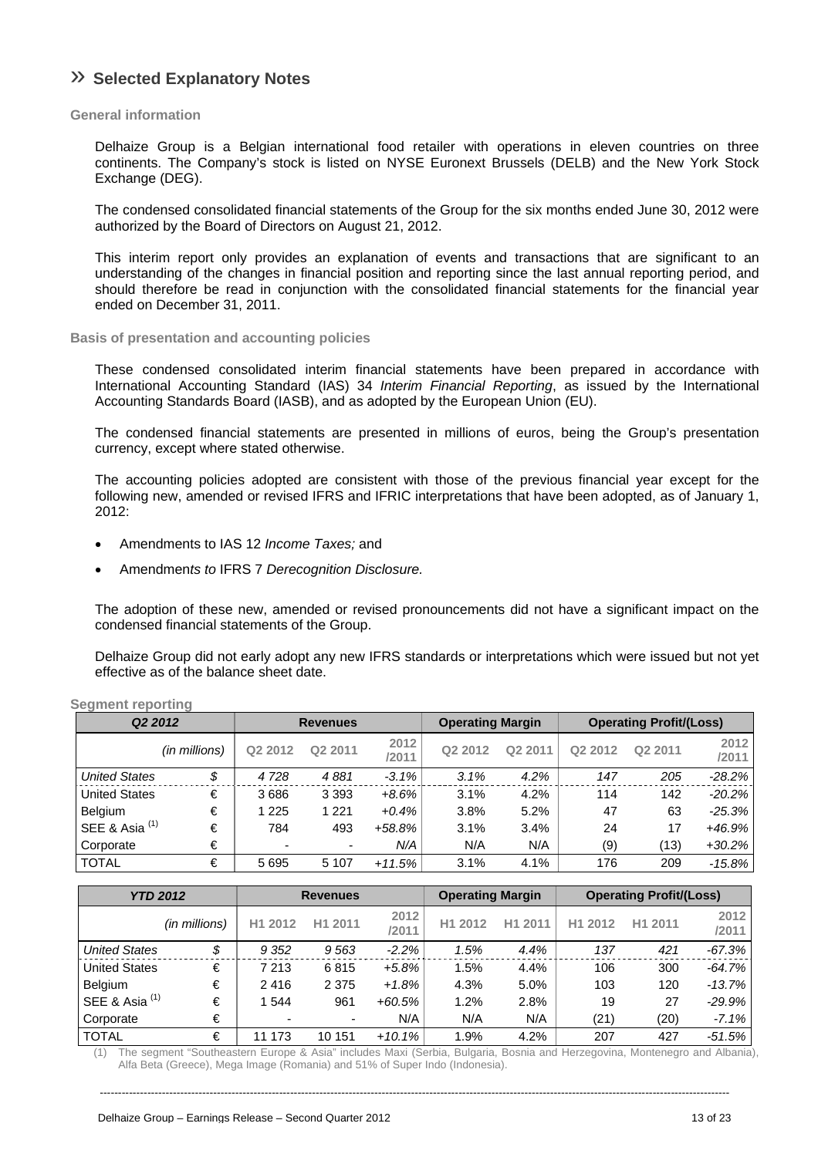## » **Selected Explanatory Notes**

### **General information**

Delhaize Group is a Belgian international food retailer with operations in eleven countries on three continents. The Company's stock is listed on NYSE Euronext Brussels (DELB) and the New York Stock Exchange (DEG).

The condensed consolidated financial statements of the Group for the six months ended June 30, 2012 were authorized by the Board of Directors on August 21, 2012.

This interim report only provides an explanation of events and transactions that are significant to an understanding of the changes in financial position and reporting since the last annual reporting period, and should therefore be read in conjunction with the consolidated financial statements for the financial year ended on December 31, 2011.

### **Basis of presentation and accounting policies**

These condensed consolidated interim financial statements have been prepared in accordance with International Accounting Standard (IAS) 34 *Interim Financial Reporting*, as issued by the International Accounting Standards Board (IASB), and as adopted by the European Union (EU).

The condensed financial statements are presented in millions of euros, being the Group's presentation currency, except where stated otherwise.

The accounting policies adopted are consistent with those of the previous financial year except for the following new, amended or revised IFRS and IFRIC interpretations that have been adopted, as of January 1, 2012:

- Amendments to IAS 12 *Income Taxes;* and
- Amendmen*ts to* IFRS 7 *Derecognition Disclosure.*

The adoption of these new, amended or revised pronouncements did not have a significant impact on the condensed financial statements of the Group.

Delhaize Group did not early adopt any new IFRS standards or interpretations which were issued but not yet effective as of the balance sheet date.

| Q <sub>2</sub> 2012       |               |                          | <b>Revenues</b> |               | <b>Operating Margin</b> |         |         | <b>Operating Profit/(Loss)</b> |               |
|---------------------------|---------------|--------------------------|-----------------|---------------|-------------------------|---------|---------|--------------------------------|---------------|
|                           | (in millions) | Q2 2012                  | Q2 2011         | 2012<br>/2011 | Q2 2012                 | Q2 2011 | Q2 2012 | Q2 2011                        | 2012<br>/2011 |
| <b>United States</b>      | \$            | 4728                     | 4881            | $-3.1%$       | 3.1%                    | 4.2%    | 147     | 205                            | $-28.2%$      |
| <b>United States</b>      | €             | 3686                     | 3 3 9 3         | $+8.6%$       | 3.1%                    | 4.2%    | 114     | 142                            | $-20.2%$      |
| <b>Belgium</b>            | €             | 1 2 2 5                  | 1 2 2 1         | $+0.4%$       | 3.8%                    | 5.2%    | 47      | 63                             | $-25.3%$      |
| SEE & Asia <sup>(1)</sup> | €             | 784                      | 493             | $+58.8%$      | 3.1%                    | 3.4%    | 24      | 17                             | $+46.9%$      |
| Corporate                 | €             | $\overline{\phantom{0}}$ | ٠               | N/A           | N/A                     | N/A     | (9)     | (13)                           | $+30.2\%$     |
| <b>TOTAL</b>              | €             | 5695                     | 5 1 0 7         | $+11.5%$      | 3.1%                    | 4.1%    | 176     | 209                            | $-15.8%$      |

**Segment reporting** 

|                      | <b>YTD 2012</b> | <b>Revenues</b> |         |               | <b>Operating Margin</b> |         | <b>Operating Profit/(Loss)</b> |         |               |
|----------------------|-----------------|-----------------|---------|---------------|-------------------------|---------|--------------------------------|---------|---------------|
|                      | (in millions)   | H1 2012         | H1 2011 | 2012<br>/2011 | H1 2012                 | H1 2011 | H1 2012                        | H1 2011 | 2012<br>/2011 |
| <b>United States</b> | \$              | 9 3 5 2         | 9563    | $-2.2%$       | 1.5%                    | 4.4%    | 137                            | 421     | $-67.3%$      |
| <b>United States</b> | €               | 7 2 1 3         | 6815    | +5.8%         | 1.5%                    | 4.4%    | 106                            | 300     | $-64.7\%$     |
| Belgium              | €               | 2416            | 2 3 7 5 | $+1.8%$       | 4.3%                    | 5.0%    | 103                            | 120     | -13.7%        |
| SEE & Asia $(1)$     | €               | 1 544           | 961     | $+60.5%$      | 1.2%                    | 2.8%    | 19                             | 27      | -29.9%        |
| Corporate            | €               | ٠               | ۰       | N/A           | N/A                     | N/A     | (21)                           | (20)    | $-7.1%$       |
| <b>TOTAL</b>         | €               | 11 173          | 10 151  | $+10.1%$      | 1.9%                    | 4.2%    | 207                            | 427     | $-51.5%$      |

(1) The segment "Southeastern Europe & Asia" includes Maxi (Serbia, Bulgaria, Bosnia and Herzegovina, Montenegro and Albania), Alfa Beta (Greece), Mega Image (Romania) and 51% of Super Indo (Indonesia).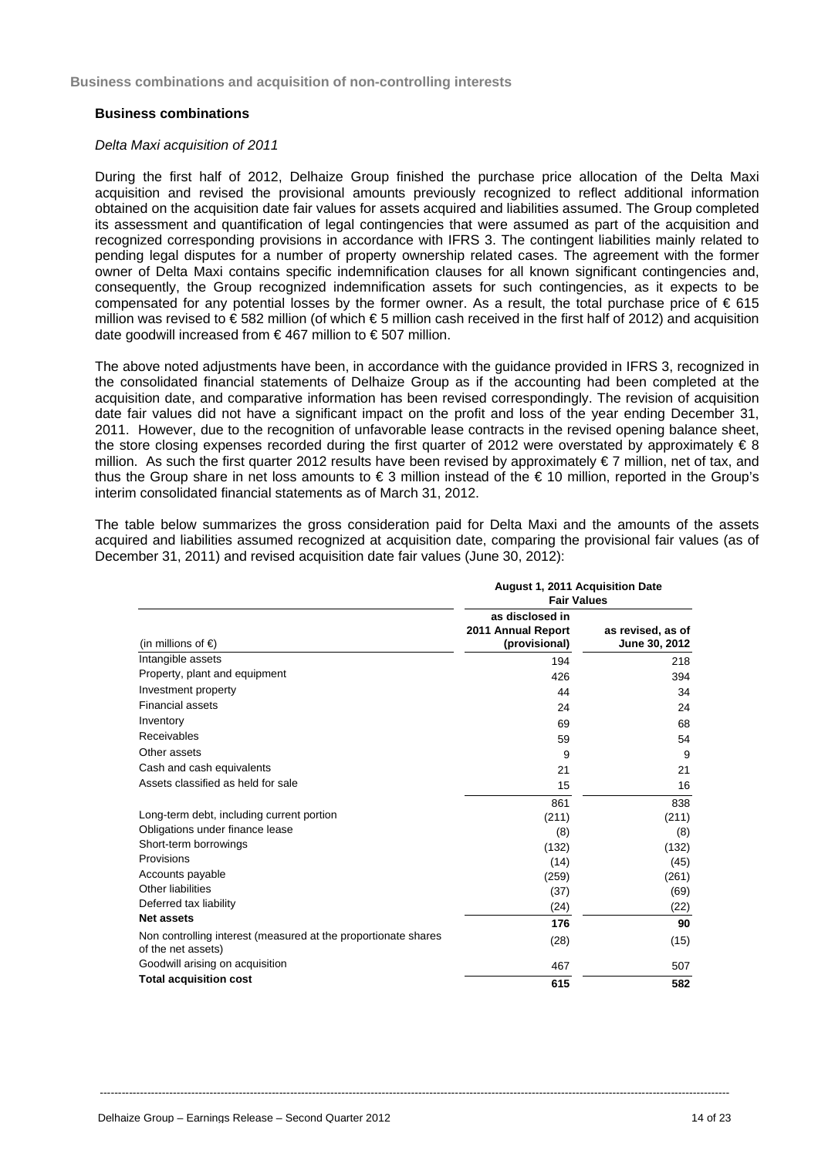**Business combinations and acquisition of non-controlling interests** 

### **Business combinations**

### *Delta Maxi acquisition of 2011*

During the first half of 2012, Delhaize Group finished the purchase price allocation of the Delta Maxi acquisition and revised the provisional amounts previously recognized to reflect additional information obtained on the acquisition date fair values for assets acquired and liabilities assumed. The Group completed its assessment and quantification of legal contingencies that were assumed as part of the acquisition and recognized corresponding provisions in accordance with IFRS 3. The contingent liabilities mainly related to pending legal disputes for a number of property ownership related cases. The agreement with the former owner of Delta Maxi contains specific indemnification clauses for all known significant contingencies and, consequently, the Group recognized indemnification assets for such contingencies, as it expects to be compensated for any potential losses by the former owner. As a result, the total purchase price of  $\epsilon$  615 million was revised to €582 million (of which €5 million cash received in the first half of 2012) and acquisition date goodwill increased from  $\epsilon$ 467 million to  $\epsilon$ 507 million.

The above noted adjustments have been, in accordance with the guidance provided in IFRS 3, recognized in the consolidated financial statements of Delhaize Group as if the accounting had been completed at the acquisition date, and comparative information has been revised correspondingly. The revision of acquisition date fair values did not have a significant impact on the profit and loss of the year ending December 31, 2011. However, due to the recognition of unfavorable lease contracts in the revised opening balance sheet, the store closing expenses recorded during the first quarter of 2012 were overstated by approximately  $\epsilon$  8 million. As such the first quarter 2012 results have been revised by approximately € 7 million, net of tax, and thus the Group share in net loss amounts to € 3 million instead of the € 10 million, reported in the Group's interim consolidated financial statements as of March 31, 2012.

The table below summarizes the gross consideration paid for Delta Maxi and the amounts of the assets acquired and liabilities assumed recognized at acquisition date, comparing the provisional fair values (as of December 31, 2011) and revised acquisition date fair values (June 30, 2012):

|                                                                                      | <b>August 1, 2011 Acquisition Date</b><br><b>Fair Values</b> |                                    |
|--------------------------------------------------------------------------------------|--------------------------------------------------------------|------------------------------------|
| (in millions of $\epsilon$ )                                                         | as disclosed in<br>2011 Annual Report<br>(provisional)       | as revised, as of<br>June 30, 2012 |
| Intangible assets                                                                    | 194                                                          | 218                                |
| Property, plant and equipment                                                        | 426                                                          | 394                                |
| Investment property                                                                  | 44                                                           | 34                                 |
| <b>Financial assets</b>                                                              | 24                                                           | 24                                 |
| Inventory                                                                            | 69                                                           | 68                                 |
| Receivables                                                                          | 59                                                           | 54                                 |
| Other assets                                                                         | 9                                                            | 9                                  |
| Cash and cash equivalents                                                            | 21                                                           | 21                                 |
| Assets classified as held for sale                                                   | 15                                                           | 16                                 |
|                                                                                      | 861                                                          | 838                                |
| Long-term debt, including current portion                                            | (211)                                                        | (211)                              |
| Obligations under finance lease                                                      | (8)                                                          | (8)                                |
| Short-term borrowings                                                                | (132)                                                        | (132)                              |
| Provisions                                                                           | (14)                                                         | (45)                               |
| Accounts payable                                                                     | (259)                                                        | (261)                              |
| Other liabilities                                                                    | (37)                                                         | (69)                               |
| Deferred tax liability                                                               | (24)                                                         | (22)                               |
| <b>Net assets</b>                                                                    | 176                                                          | 90                                 |
| Non controlling interest (measured at the proportionate shares<br>of the net assets) | (28)                                                         | (15)                               |
| Goodwill arising on acquisition                                                      | 467                                                          | 507                                |
| <b>Total acquisition cost</b>                                                        | 615                                                          | 582                                |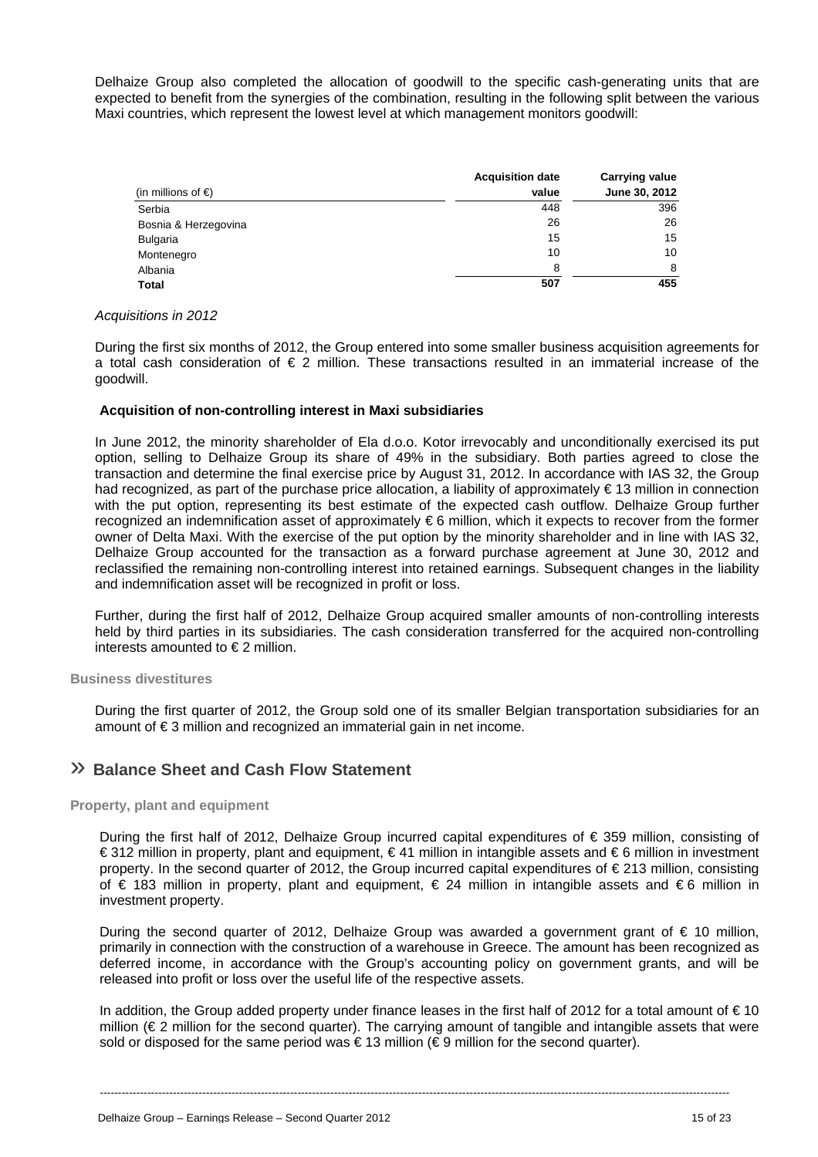Delhaize Group also completed the allocation of goodwill to the specific cash-generating units that are expected to benefit from the synergies of the combination, resulting in the following split between the various Maxi countries, which represent the lowest level at which management monitors goodwill:

|                              | <b>Acquisition date</b> | Carrying value |
|------------------------------|-------------------------|----------------|
| (in millions of $\epsilon$ ) | value                   | June 30, 2012  |
| Serbia                       | 448                     | 396            |
| Bosnia & Herzegovina         | 26                      | 26             |
| Bulgaria                     | 15                      | 15             |
| Montenegro                   | 10                      | 10             |
| Albania                      | 8                       | 8              |
| Total                        | 507                     | 455            |

### *Acquisitions in 2012*

During the first six months of 2012, the Group entered into some smaller business acquisition agreements for a total cash consideration of  $\epsilon$  2 million. These transactions resulted in an immaterial increase of the goodwill.

### **Acquisition of non-controlling interest in Maxi subsidiaries**

In June 2012, the minority shareholder of Ela d.o.o. Kotor irrevocably and unconditionally exercised its put option, selling to Delhaize Group its share of 49% in the subsidiary. Both parties agreed to close the transaction and determine the final exercise price by August 31, 2012. In accordance with IAS 32, the Group had recognized, as part of the purchase price allocation, a liability of approximately € 13 million in connection with the put option, representing its best estimate of the expected cash outflow. Delhaize Group further recognized an indemnification asset of approximately € 6 million, which it expects to recover from the former owner of Delta Maxi. With the exercise of the put option by the minority shareholder and in line with IAS 32, Delhaize Group accounted for the transaction as a forward purchase agreement at June 30, 2012 and reclassified the remaining non-controlling interest into retained earnings. Subsequent changes in the liability and indemnification asset will be recognized in profit or loss.

Further, during the first half of 2012, Delhaize Group acquired smaller amounts of non-controlling interests held by third parties in its subsidiaries. The cash consideration transferred for the acquired non-controlling interests amounted to  $\epsilon$  2 million.

### **Business divestitures**

During the first quarter of 2012, the Group sold one of its smaller Belgian transportation subsidiaries for an amount of € 3 million and recognized an immaterial gain in net income.

## » **Balance Sheet and Cash Flow Statement**

### **Property, plant and equipment**

During the first half of 2012, Delhaize Group incurred capital expenditures of € 359 million, consisting of € 312 million in property, plant and equipment, € 41 million in intangible assets and € 6 million in investment property. In the second quarter of 2012, the Group incurred capital expenditures of € 213 million, consisting of € 183 million in property, plant and equipment, € 24 million in intangible assets and € 6 million in investment property.

During the second quarter of 2012, Delhaize Group was awarded a government grant of € 10 million, primarily in connection with the construction of a warehouse in Greece. The amount has been recognized as deferred income, in accordance with the Group's accounting policy on government grants, and will be released into profit or loss over the useful life of the respective assets.

In addition, the Group added property under finance leases in the first half of 2012 for a total amount of  $\epsilon$  10 million ( $\\epsilon$  2 million for the second quarter). The carrying amount of tangible and intangible assets that were sold or disposed for the same period was  $\epsilon$  13 million ( $\epsilon$ 9 million for the second quarter).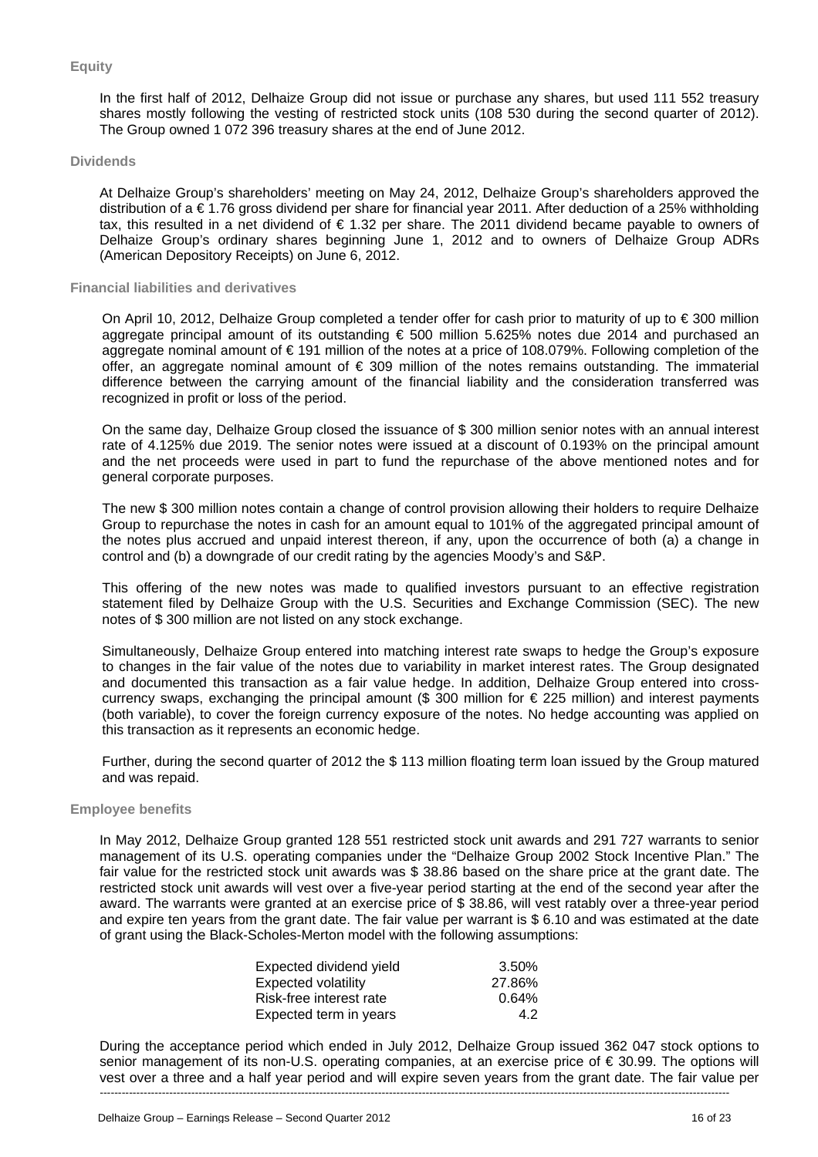### **Equity**

In the first half of 2012, Delhaize Group did not issue or purchase any shares, but used 111 552 treasury shares mostly following the vesting of restricted stock units (108 530 during the second quarter of 2012). The Group owned 1 072 396 treasury shares at the end of June 2012.

### **Dividends**

At Delhaize Group's shareholders' meeting on May 24, 2012, Delhaize Group's shareholders approved the distribution of a € 1.76 gross dividend per share for financial year 2011. After deduction of a 25% withholding tax, this resulted in a net dividend of € 1.32 per share. The 2011 dividend became payable to owners of Delhaize Group's ordinary shares beginning June 1, 2012 and to owners of Delhaize Group ADRs (American Depository Receipts) on June 6, 2012.

### **Financial liabilities and derivatives**

On April 10, 2012, Delhaize Group completed a tender offer for cash prior to maturity of up to € 300 million aggregate principal amount of its outstanding € 500 million 5.625% notes due 2014 and purchased an aggregate nominal amount of € 191 million of the notes at a price of 108.079%. Following completion of the offer, an aggregate nominal amount of  $\epsilon$  309 million of the notes remains outstanding. The immaterial difference between the carrying amount of the financial liability and the consideration transferred was recognized in profit or loss of the period.

On the same day, Delhaize Group closed the issuance of \$ 300 million senior notes with an annual interest rate of 4.125% due 2019. The senior notes were issued at a discount of 0.193% on the principal amount and the net proceeds were used in part to fund the repurchase of the above mentioned notes and for general corporate purposes.

The new \$ 300 million notes contain a change of control provision allowing their holders to require Delhaize Group to repurchase the notes in cash for an amount equal to 101% of the aggregated principal amount of the notes plus accrued and unpaid interest thereon, if any, upon the occurrence of both (a) a change in control and (b) a downgrade of our credit rating by the agencies Moody's and S&P.

This offering of the new notes was made to qualified investors pursuant to an effective registration statement filed by Delhaize Group with the U.S. Securities and Exchange Commission (SEC). The new notes of \$ 300 million are not listed on any stock exchange.

Simultaneously, Delhaize Group entered into matching interest rate swaps to hedge the Group's exposure to changes in the fair value of the notes due to variability in market interest rates. The Group designated and documented this transaction as a fair value hedge. In addition, Delhaize Group entered into crosscurrency swaps, exchanging the principal amount (\$ 300 million for  $\epsilon$  225 million) and interest payments (both variable), to cover the foreign currency exposure of the notes. No hedge accounting was applied on this transaction as it represents an economic hedge.

Further, during the second quarter of 2012 the \$ 113 million floating term loan issued by the Group matured and was repaid.

#### **Employee benefits**

In May 2012, Delhaize Group granted 128 551 restricted stock unit awards and 291 727 warrants to senior management of its U.S. operating companies under the "Delhaize Group 2002 Stock Incentive Plan." The fair value for the restricted stock unit awards was \$ 38.86 based on the share price at the grant date. The restricted stock unit awards will vest over a five-year period starting at the end of the second year after the award. The warrants were granted at an exercise price of \$ 38.86, will vest ratably over a three-year period and expire ten years from the grant date. The fair value per warrant is \$6.10 and was estimated at the date of grant using the Black-Scholes-Merton model with the following assumptions:

| Expected dividend yield | 3.50%  |
|-------------------------|--------|
| Expected volatility     | 27.86% |
| Risk-free interest rate | 0.64%  |
| Expected term in years  | 4.2    |

---------------------------------------------------------------------------------------------------------------------------------------------------------------------------- During the acceptance period which ended in July 2012, Delhaize Group issued 362 047 stock options to senior management of its non-U.S. operating companies, at an exercise price of € 30.99. The options will vest over a three and a half year period and will expire seven years from the grant date. The fair value per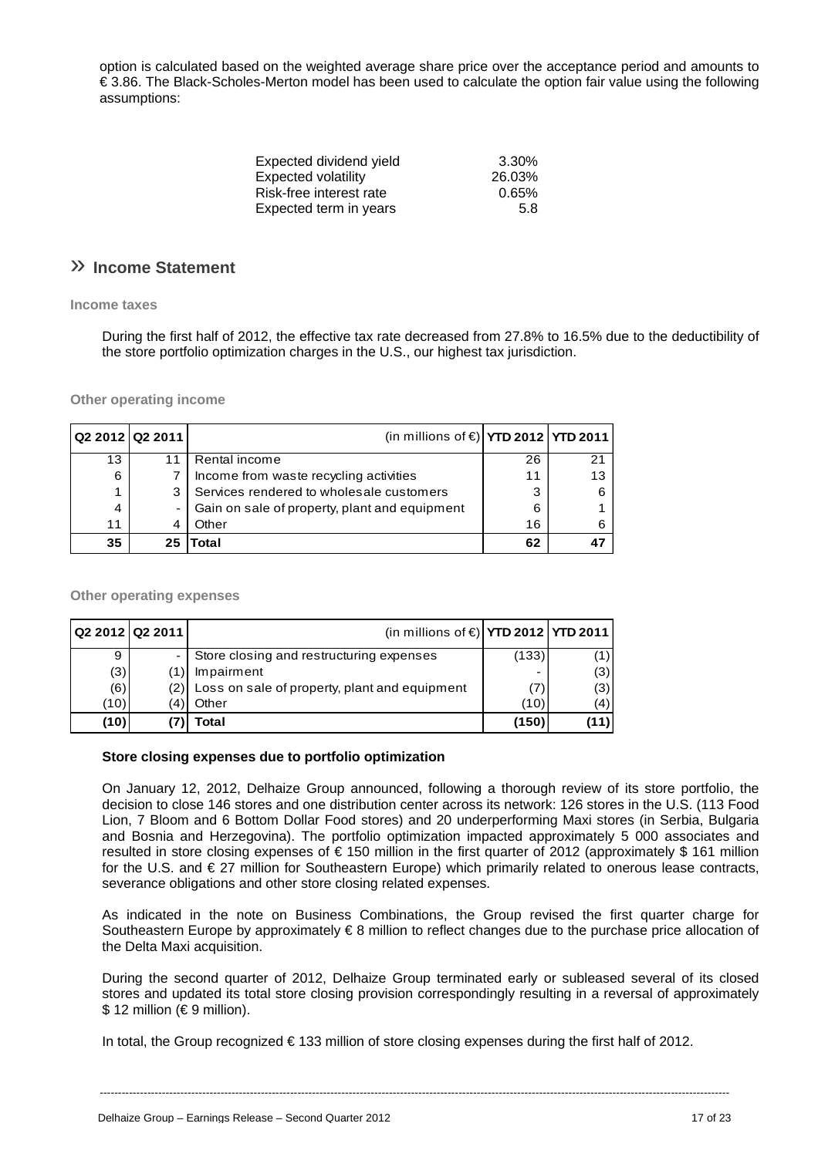option is calculated based on the weighted average share price over the acceptance period and amounts to € 3.86. The Black-Scholes-Merton model has been used to calculate the option fair value using the following assumptions:

| Expected dividend yield | 3.30%  |
|-------------------------|--------|
| Expected volatility     | 26.03% |
| Risk-free interest rate | 0.65%  |
| Expected term in years  | 5.8    |

## » **Income Statement**

### **Income taxes**

During the first half of 2012, the effective tax rate decreased from 27.8% to 16.5% due to the deductibility of the store portfolio optimization charges in the U.S., our highest tax jurisdiction.

**Other operating income** 

| Q2 2012 Q2 2011 |     | (in millions of $\epsilon$ ) YTD 2012 YTD 2011 |    |    |
|-----------------|-----|------------------------------------------------|----|----|
| 13              |     | Rental income                                  | 26 | 21 |
| 6               |     | Income from waste recycling activities         | 11 | 13 |
| 1               |     | Services rendered to wholesale customers       | 3  |    |
| 4               |     | Gain on sale of property, plant and equipment  | 6  |    |
| 11              |     | Other                                          | 16 |    |
| 35              | 25. | Total                                          | 62 |    |

### **Other operating expenses**

|      | Q2 2012 Q2 2011 | (in millions of $\epsilon$ ) YTD 2012   YTD 2011 |       |     |
|------|-----------------|--------------------------------------------------|-------|-----|
| 9    |                 | Store closing and restructuring expenses         | (133) |     |
| (3)  |                 | Impairment                                       |       | (3) |
| (6)  |                 | Loss on sale of property, plant and equipment    | (7)   | (3) |
| (10) | 4)              | Other                                            | (10)  | (4) |
| (10) |                 | 'otal                                            | (150) |     |

### **Store closing expenses due to portfolio optimization**

On January 12, 2012, Delhaize Group announced, following a thorough review of its store portfolio, the decision to close 146 stores and one distribution center across its network: 126 stores in the U.S. (113 Food Lion, 7 Bloom and 6 Bottom Dollar Food stores) and 20 underperforming Maxi stores (in Serbia, Bulgaria and Bosnia and Herzegovina). The portfolio optimization impacted approximately 5 000 associates and resulted in store closing expenses of € 150 million in the first quarter of 2012 (approximately \$ 161 million for the U.S. and € 27 million for Southeastern Europe) which primarily related to onerous lease contracts, severance obligations and other store closing related expenses.

As indicated in the note on Business Combinations, the Group revised the first quarter charge for Southeastern Europe by approximately € 8 million to reflect changes due to the purchase price allocation of the Delta Maxi acquisition.

During the second quarter of 2012, Delhaize Group terminated early or subleased several of its closed stores and updated its total store closing provision correspondingly resulting in a reversal of approximately \$ 12 million (€ 9 million).

In total, the Group recognized € 133 million of store closing expenses during the first half of 2012.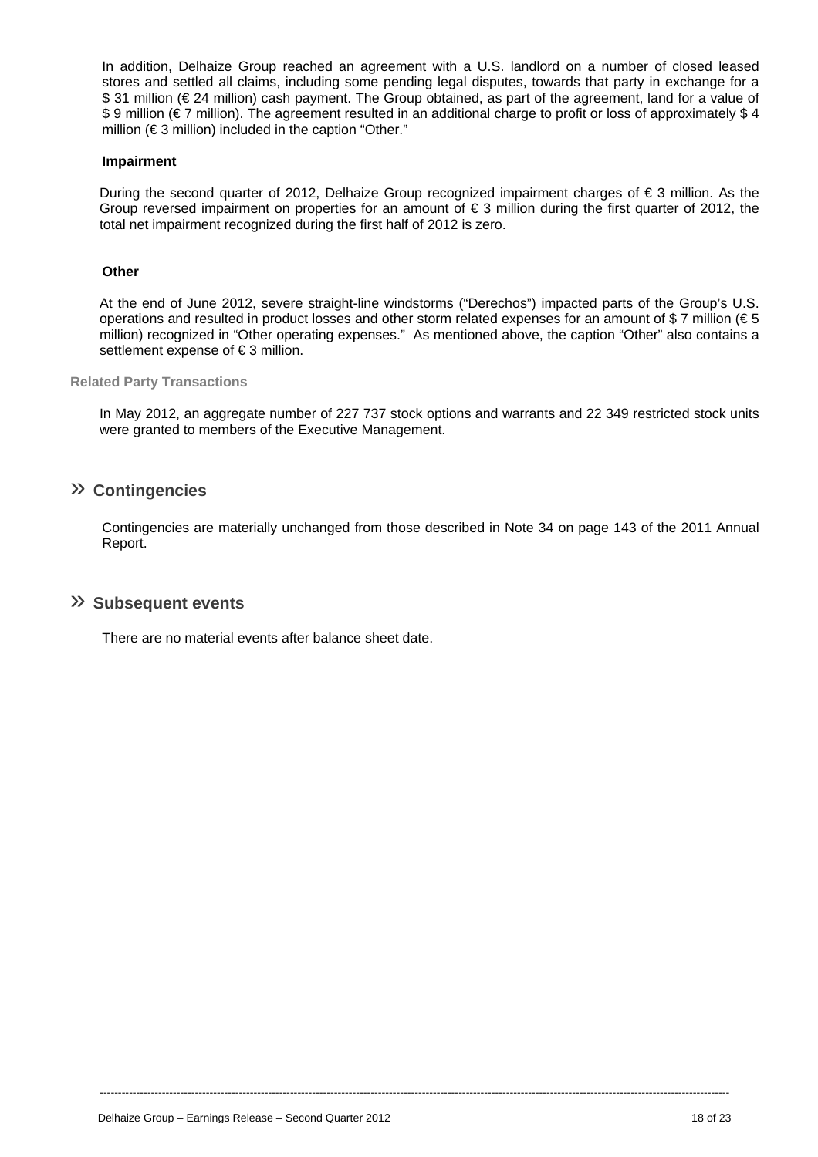In addition, Delhaize Group reached an agreement with a U.S. landlord on a number of closed leased stores and settled all claims, including some pending legal disputes, towards that party in exchange for a \$ 31 million (€ 24 million) cash payment. The Group obtained, as part of the agreement, land for a value of \$ 9 million (€ 7 million). The agreement resulted in an additional charge to profit or loss of approximately \$ 4 million (€ 3 million) included in the caption "Other."

### **Impairment**

During the second quarter of 2012, Delhaize Group recognized impairment charges of  $\epsilon$  3 million. As the Group reversed impairment on properties for an amount of  $\epsilon$  3 million during the first quarter of 2012, the total net impairment recognized during the first half of 2012 is zero.

### **Other**

At the end of June 2012, severe straight-line windstorms ("Derechos") impacted parts of the Group's U.S. operations and resulted in product losses and other storm related expenses for an amount of \$7 million ( $\epsilon$ 5 million) recognized in "Other operating expenses." As mentioned above, the caption "Other" also contains a settlement expense of €3 million.

### **Related Party Transactions**

In May 2012, an aggregate number of 227 737 stock options and warrants and 22 349 restricted stock units were granted to members of the Executive Management.

## » **Contingencies**

Contingencies are materially unchanged from those described in Note 34 on page 143 of the 2011 Annual Report.

----------------------------------------------------------------------------------------------------------------------------------------------------------------------------

### » **Subsequent events**

There are no material events after balance sheet date.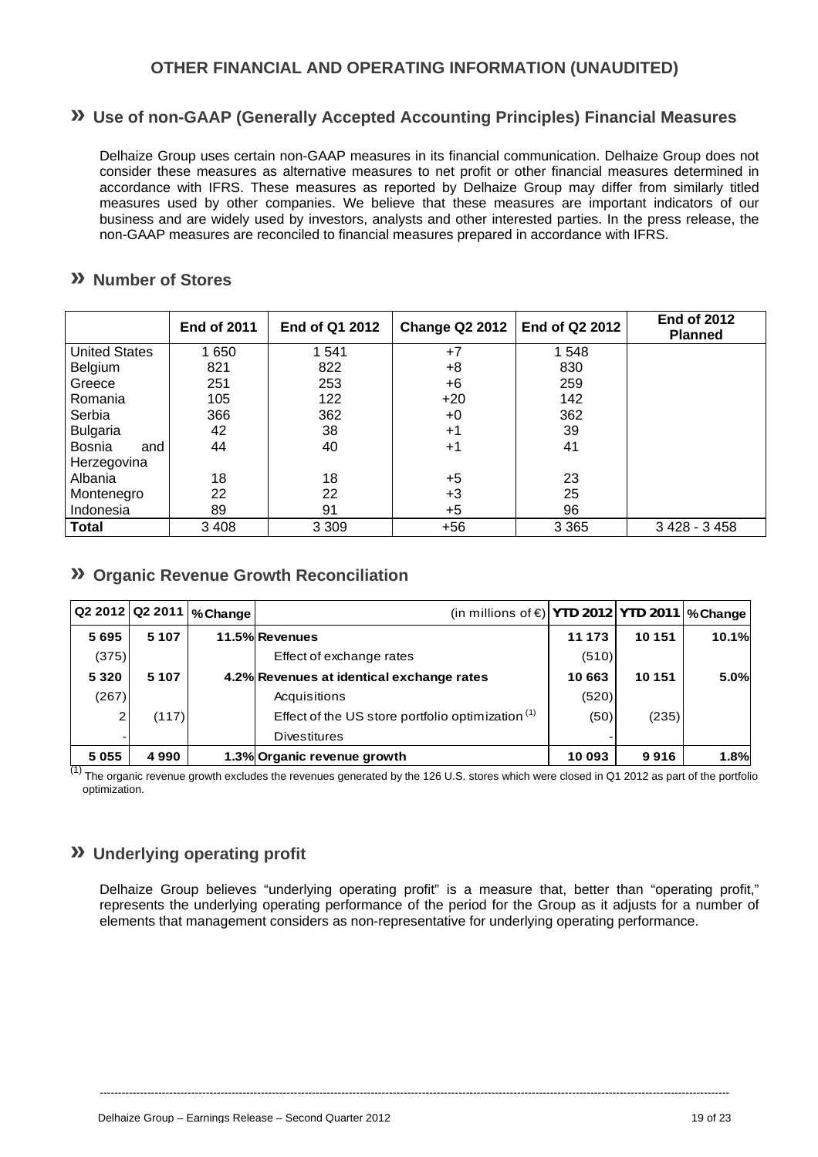## **OTHER FINANCIAL AND OPERATING INFORMATION (UNAUDITED)**

## **» Use of non-GAAP (Generally Accepted Accounting Principles) Financial Measures**

Delhaize Group uses certain non-GAAP measures in its financial communication. Delhaize Group does not consider these measures as alternative measures to net profit or other financial measures determined in accordance with IFRS. These measures as reported by Delhaize Group may differ from similarly titled measures used by other companies. We believe that these measures are important indicators of our business and are widely used by investors, analysts and other interested parties. In the press release, the non-GAAP measures are reconciled to financial measures prepared in accordance with IFRS.

## **» Number of Stores**

|                      | <b>End of 2011</b> | End of Q1 2012 | Change Q2 2012 | End of Q2 2012 | <b>End of 2012</b><br><b>Planned</b> |
|----------------------|--------------------|----------------|----------------|----------------|--------------------------------------|
| <b>United States</b> | 1 650              | 1 541          | $+7$           | 1 548          |                                      |
| Belgium              | 821                | 822            | +8             | 830            |                                      |
| Greece               | 251                | 253            | +6             | 259            |                                      |
| Romania              | 105                | 122            | $+20$          | 142            |                                      |
| Serbia<br>366        |                    | 362            | $+0$           | 362            |                                      |
| <b>Bulgaria</b>      | 42                 | 38             | $+1$           | 39             |                                      |
| Bosnia<br>and        | 44                 | 40             | $+1$           | 41             |                                      |
| Herzegovina          |                    |                |                |                |                                      |
| Albania              | 18                 | 18             | $+5$           | 23             |                                      |
| Montenegro           | 22                 | 22             | $+3$           | 25             |                                      |
| Indonesia            | 89                 | 91             | $+5$           | 96             |                                      |
| <b>Total</b>         | 3 4 0 8            | 3 3 0 9        | $+56$          | 3 3 6 5        | 3 4 28 - 3 4 5 8                     |

## **» Organic Revenue Growth Reconciliation**

|         |         | Q2 2012 Q2 2011   % Change | (in millions of $\epsilon$ ) YTD 2012 YTD 2011   % Change |        |        |       |
|---------|---------|----------------------------|-----------------------------------------------------------|--------|--------|-------|
| 5695    | 5 1 0 7 |                            | 11.5% Revenues                                            | 11 173 | 10 151 | 10.1% |
| (375)   |         |                            | Effect of exchange rates                                  | (510)  |        |       |
| 5 3 2 0 | 5 1 0 7 |                            | 4.2% Revenues at identical exchange rates                 | 10 663 | 10 151 | 5.0%  |
| (267)   |         |                            | Acquisitions                                              | (520)  |        |       |
|         | (117)   |                            | Effect of the US store portfolio optimization $(1)$       | (50)   | (235)  |       |
|         |         |                            | <b>Divestitures</b>                                       |        |        |       |
| 5 0 5 5 | 4990    |                            | 1.3% Organic revenue growth                               | 10 093 | 9916   | 1.8%  |

 $(1)$  The organic revenue growth excludes the revenues generated by the 126 U.S. stores which were closed in Q1 2012 as part of the portfolio optimization.

## **» Underlying operating profit**

Delhaize Group believes "underlying operating profit" is a measure that, better than "operating profit," represents the underlying operating performance of the period for the Group as it adjusts for a number of elements that management considers as non-representative for underlying operating performance.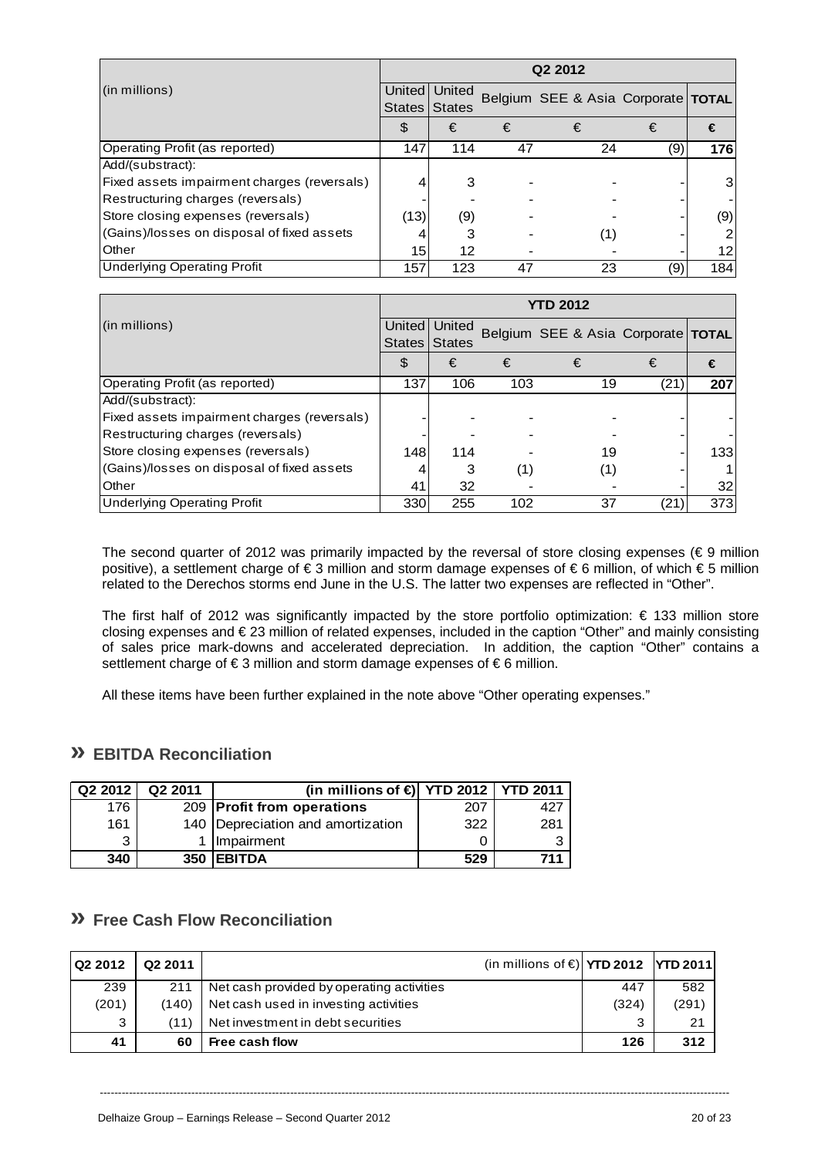|                                             | Q <sub>2</sub> 2012 |                                |    |                                      |     |                 |  |  |
|---------------------------------------------|---------------------|--------------------------------|----|--------------------------------------|-----|-----------------|--|--|
| (in millions)                               | <b>States</b>       | United United<br><b>States</b> |    | Belgium SEE & Asia Corporate   TOTAL |     |                 |  |  |
|                                             | \$                  | €                              | €  | €                                    | €   | €               |  |  |
| Operating Profit (as reported)              | 147                 | 114                            | 47 | 24                                   | (9) | 176             |  |  |
| Add/(substract):                            |                     |                                |    |                                      |     |                 |  |  |
| Fixed assets impairment charges (reversals) |                     | З                              |    |                                      |     | 3               |  |  |
| Restructuring charges (reversals)           |                     |                                |    |                                      |     |                 |  |  |
| Store closing expenses (reversals)          | (13)                | (9)                            |    |                                      |     | (9)             |  |  |
| (Gains)/losses on disposal of fixed assets  |                     | 3                              |    | (1)                                  |     |                 |  |  |
| Other                                       | 15I                 | 12                             |    |                                      |     | 12 <sub>1</sub> |  |  |
| <b>Underlying Operating Profit</b>          | 157                 | 123                            | 47 | 23                                   | (9) | 184             |  |  |

|                                             | <b>YTD 2012</b>         |                         |     |                                      |      |     |  |  |
|---------------------------------------------|-------------------------|-------------------------|-----|--------------------------------------|------|-----|--|--|
| (in millions)                               | United<br><b>States</b> | United<br><b>States</b> |     | Belgium SEE & Asia Corporate   TOTAL |      |     |  |  |
|                                             | \$                      | €                       | €   | €                                    | €    | €   |  |  |
| Operating Profit (as reported)              | 137                     | 106                     | 103 | 19                                   | (21, | 207 |  |  |
| Add/(substract):                            |                         |                         |     |                                      |      |     |  |  |
| Fixed assets impairment charges (reversals) |                         |                         |     |                                      |      |     |  |  |
| Restructuring charges (reversals)           |                         |                         |     |                                      |      |     |  |  |
| Store closing expenses (reversals)          | 148                     | 114                     |     | 19                                   |      | 133 |  |  |
| (Gains)/losses on disposal of fixed assets  |                         | 3                       | (1) | (1)                                  |      |     |  |  |
| Other                                       | 41                      | 32                      |     |                                      |      | 32  |  |  |
| <b>Underlying Operating Profit</b>          | 330                     | 255                     | 102 | 37                                   | (21) | 373 |  |  |

The second quarter of 2012 was primarily impacted by the reversal of store closing expenses ( $\epsilon$  9 million positive), a settlement charge of € 3 million and storm damage expenses of € 6 million, of which € 5 million related to the Derechos storms end June in the U.S. The latter two expenses are reflected in "Other".

The first half of 2012 was significantly impacted by the store portfolio optimization: € 133 million store closing expenses and € 23 million of related expenses, included in the caption "Other" and mainly consisting of sales price mark-downs and accelerated depreciation. In addition, the caption "Other" contains a settlement charge of €3 million and storm damage expenses of €6 million.

All these items have been further explained in the note above "Other operating expenses."

## **» EBITDA Reconciliation**

| Q <sub>2</sub> 2012 | Q <sub>2</sub> 2011 | (in millions of $\bigoplus$ YTD 2012   YTD 2011 |     |     |
|---------------------|---------------------|-------------------------------------------------|-----|-----|
| 176                 |                     | 209 Profit from operations                      | 207 |     |
| 161                 |                     | 140   Depreciation and amortization             | 322 | 281 |
| 3                   |                     | Impairment                                      |     | 2   |
| 340                 | 350                 | <b>IEBITDA</b>                                  | 529 |     |

## **» Free Cash Flow Reconciliation**

| Q2 2012 | Q <sub>2</sub> 2011 | (in millions of $\epsilon$ ) YTD 2012   YTD 2011 |       |       |
|---------|---------------------|--------------------------------------------------|-------|-------|
| 239     | 211                 | Net cash provided by operating activities        | 447   | 582   |
| (201)   | (140)               | Net cash used in investing activities            | (324) | (291) |
| 3       | (11)                | Net investment in debt securities                |       | 21    |
| 41      | 60                  | Free cash flow                                   | 126   | 312   |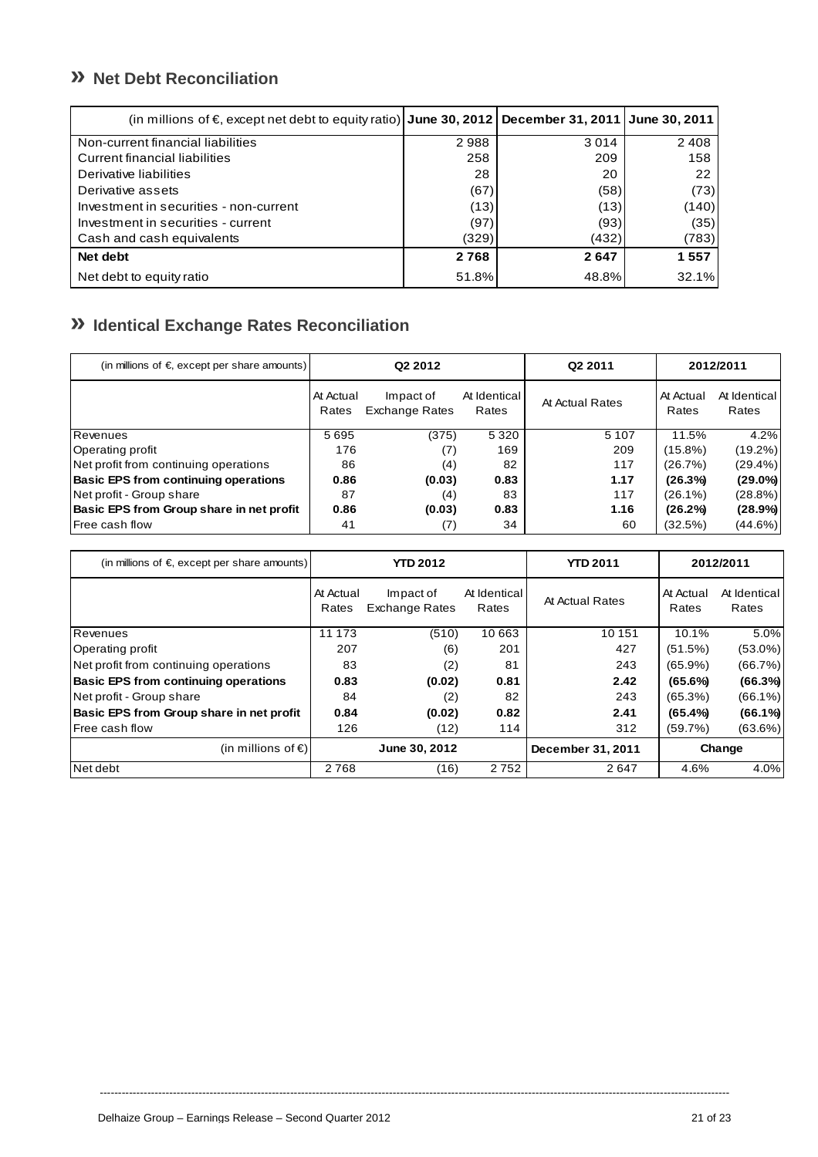## **» Net Debt Reconciliation**

| (in millions of €, except net debt to equity ratio) June 30, 2012 December 31, 2011 June 30, 2011 |       |         |       |
|---------------------------------------------------------------------------------------------------|-------|---------|-------|
| Non-current financial liabilities                                                                 | 2988  | 3 0 1 4 | 2408  |
| Current financial liabilities                                                                     | 258   | 209     | 158   |
| Derivative liabilities                                                                            | 28    | 20      | 22    |
| Derivative assets                                                                                 | (67)  | (58)    | (73)  |
| Investment in securities - non-current                                                            | (13)  | (13)    | (140) |
| Investment in securities - current                                                                | (97)  | (93)    | (35)  |
| Cash and cash equivalents                                                                         | (329) | (432)   | (783) |
| Net debt                                                                                          | 2768  | 2647    | 1557  |
| Net debt to equity ratio                                                                          | 51.8% | 48.8%   | 32.1% |

## **» Identical Exchange Rates Reconciliation**

| (in millions of $\epsilon$ , except per share amounts) | Q <sub>2</sub> 2012 |                                    | Q <sub>2</sub> 2011   | 2012/2011       |                    |                       |
|--------------------------------------------------------|---------------------|------------------------------------|-----------------------|-----------------|--------------------|-----------------------|
|                                                        | At Actual<br>Rates  | Impact of<br><b>Exchange Rates</b> | At Identical<br>Rates | At Actual Rates | At Actual<br>Rates | At Identical<br>Rates |
| Revenues                                               | 5695                | (375)                              | 5 3 2 0               | 5 1 0 7         | 11.5%              | 4.2%                  |
| Operating profit                                       | 176                 | (7)                                | 169                   | 209             | $(15.8\%)$         | $(19.2\%)$            |
| Net profit from continuing operations                  | 86                  | (4)                                | 82                    | 117             | (26.7%)            | $(29.4\%)$            |
| <b>Basic EPS from continuing operations</b>            | 0.86                | (0.03)                             | 0.83                  | 1.17            | (26.3%)            | $(29.0\%)$            |
| Net profit - Group share                               | 87                  | (4)                                | 83                    | 117             | $(26.1\%)$         | $(28.8\%)$            |
| Basic EPS from Group share in net profit               | 0.86                | (0.03)                             | 0.83                  | 1.16            | (26.2%)            | $(28.9\%)$            |
| <b>Free cash flow</b>                                  | 41                  | (7)                                | 34                    | 60              | (32.5%)            | $(44.6\%)$            |

| (in millions of $\epsilon$ except per share amounts) | <b>YTD 2012</b>    |                                    | <b>YTD 2011</b>       |                   | 2012/2011          |                       |
|------------------------------------------------------|--------------------|------------------------------------|-----------------------|-------------------|--------------------|-----------------------|
|                                                      | At Actual<br>Rates | Impact of<br><b>Exchange Rates</b> | At Identical<br>Rates | At Actual Rates   | At Actual<br>Rates | At Identical<br>Rates |
| Revenues                                             | 11 173             | (510)                              | 10 663                | 10 151            | 10.1%              | 5.0%                  |
| Operating profit                                     | 207                | (6)                                | 201                   | 427               | (51.5%)            | $(53.0\%)$            |
| Net profit from continuing operations                | 83                 | (2)                                | 81                    | 243               | $(65.9\%)$         | (66.7%)               |
| <b>Basic EPS from continuing operations</b>          | 0.83               | (0.02)                             | 0.81                  | 2.42              | (65.6%)            | (66.3%)               |
| Net profit - Group share                             | 84                 | (2)                                | 82                    | 243               | (65.3%)            | $(66.1\%)$            |
| Basic EPS from Group share in net profit             | 0.84               | (0.02)                             | 0.82                  | 2.41              | (65.4%             | $(66.1\%)$            |
| <b>IFree cash flow</b>                               | 126                | (12)                               | 114                   | 312               | (59.7%)            | (63.6%)               |
| (in millions of $\epsilon$ )                         |                    | June 30, 2012                      |                       | December 31, 2011 |                    | Change                |
| Net debt                                             | 2768               | (16)                               | 2752                  | 2647              | 4.6%               | 4.0%                  |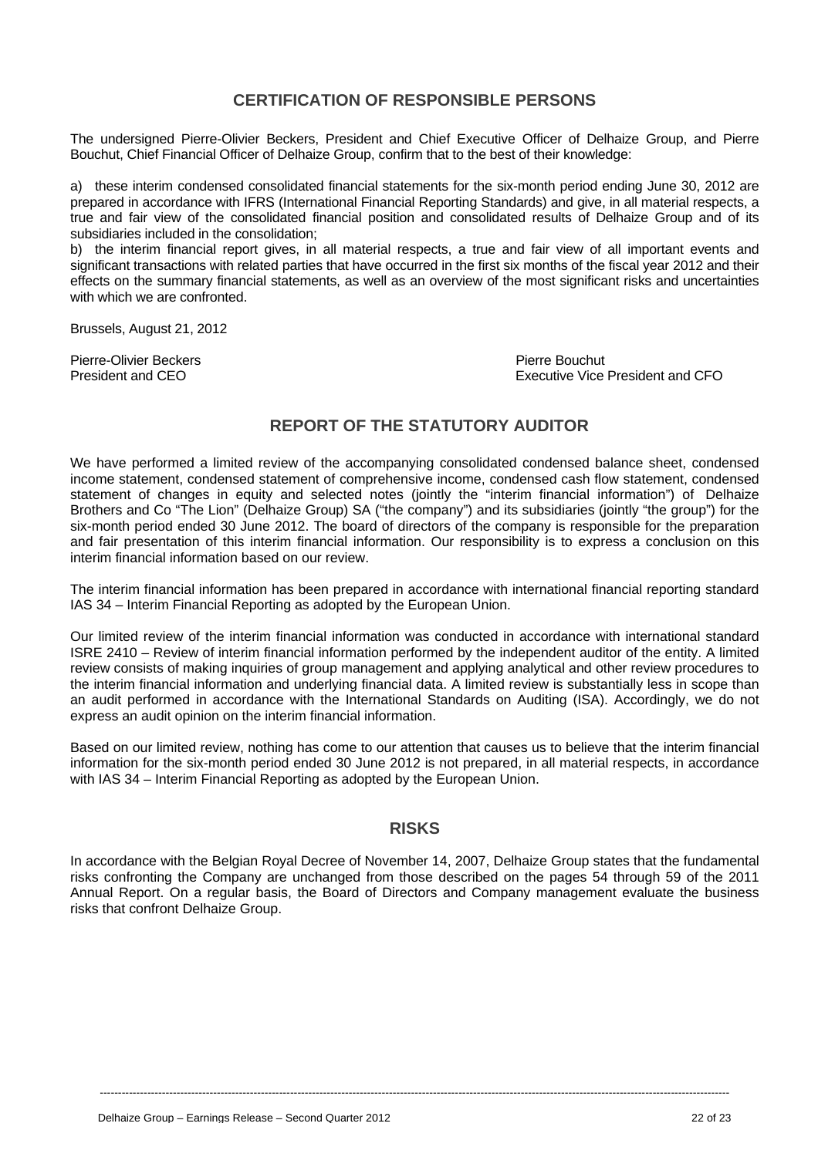## **CERTIFICATION OF RESPONSIBLE PERSONS**

The undersigned Pierre-Olivier Beckers, President and Chief Executive Officer of Delhaize Group, and Pierre Bouchut, Chief Financial Officer of Delhaize Group, confirm that to the best of their knowledge:

a) these interim condensed consolidated financial statements for the six-month period ending June 30, 2012 are prepared in accordance with IFRS (International Financial Reporting Standards) and give, in all material respects, a true and fair view of the consolidated financial position and consolidated results of Delhaize Group and of its subsidiaries included in the consolidation;

b) the interim financial report gives, in all material respects, a true and fair view of all important events and significant transactions with related parties that have occurred in the first six months of the fiscal year 2012 and their effects on the summary financial statements, as well as an overview of the most significant risks and uncertainties with which we are confronted.

Brussels, August 21, 2012

Pierre-Olivier Beckers **Pierre Bouchut** Pierre Bouchut

President and CEO **Executive Vice President and CFO** 

## **REPORT OF THE STATUTORY AUDITOR**

We have performed a limited review of the accompanying consolidated condensed balance sheet, condensed income statement, condensed statement of comprehensive income, condensed cash flow statement, condensed statement of changes in equity and selected notes (jointly the "interim financial information") of Delhaize Brothers and Co "The Lion" (Delhaize Group) SA ("the company") and its subsidiaries (jointly "the group") for the six-month period ended 30 June 2012. The board of directors of the company is responsible for the preparation and fair presentation of this interim financial information. Our responsibility is to express a conclusion on this interim financial information based on our review.

The interim financial information has been prepared in accordance with international financial reporting standard IAS 34 – Interim Financial Reporting as adopted by the European Union.

Our limited review of the interim financial information was conducted in accordance with international standard ISRE 2410 – Review of interim financial information performed by the independent auditor of the entity. A limited review consists of making inquiries of group management and applying analytical and other review procedures to the interim financial information and underlying financial data. A limited review is substantially less in scope than an audit performed in accordance with the International Standards on Auditing (ISA). Accordingly, we do not express an audit opinion on the interim financial information.

Based on our limited review, nothing has come to our attention that causes us to believe that the interim financial information for the six-month period ended 30 June 2012 is not prepared, in all material respects, in accordance with IAS 34 – Interim Financial Reporting as adopted by the European Union.

### **RISKS**

In accordance with the Belgian Royal Decree of November 14, 2007, Delhaize Group states that the fundamental risks confronting the Company are unchanged from those described on the pages 54 through 59 of the 2011 Annual Report. On a regular basis, the Board of Directors and Company management evaluate the business risks that confront Delhaize Group.